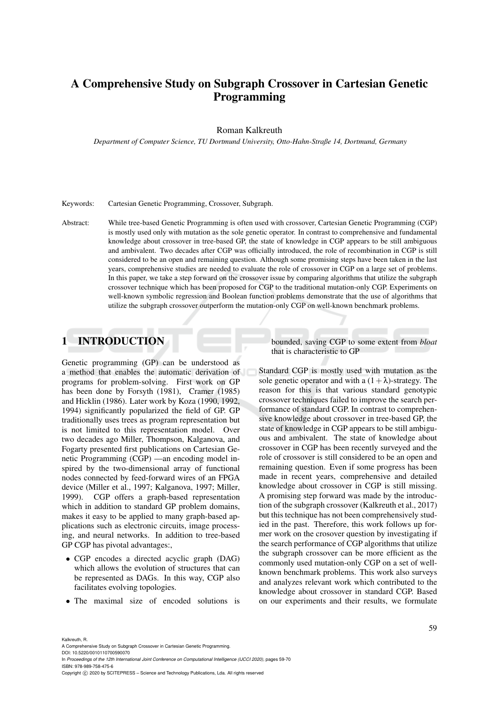# A Comprehensive Study on Subgraph Crossover in Cartesian Genetic Programming

Roman Kalkreuth

*Department of Computer Science, TU Dortmund University, Otto-Hahn-Straße 14, Dortmund, Germany*

Keywords: Cartesian Genetic Programming, Crossover, Subgraph.

Abstract: While tree-based Genetic Programming is often used with crossover, Cartesian Genetic Programming (CGP) is mostly used only with mutation as the sole genetic operator. In contrast to comprehensive and fundamental knowledge about crossover in tree-based GP, the state of knowledge in CGP appears to be still ambiguous and ambivalent. Two decades after CGP was officially introduced, the role of recombination in CGP is still considered to be an open and remaining question. Although some promising steps have been taken in the last years, comprehensive studies are needed to evaluate the role of crossover in CGP on a large set of problems. In this paper, we take a step forward on the crossover issue by comparing algorithms that utilize the subgraph crossover technique which has been proposed for CGP to the traditional mutation-only CGP. Experiments on well-known symbolic regression and Boolean function problems demonstrate that the use of algorithms that utilize the subgraph crossover outperform the mutation-only CGP on well-known benchmark problems.

## 1 INTRODUCTION

Genetic programming (GP) can be understood as a method that enables the automatic derivation of programs for problem-solving. First work on GP has been done by Forsyth (1981), Cramer (1985) and Hicklin (1986). Later work by Koza (1990, 1992, 1994) significantly popularized the field of GP. GP traditionally uses trees as program representation but is not limited to this representation model. Over two decades ago Miller, Thompson, Kalganova, and Fogarty presented first publications on Cartesian Genetic Programming (CGP) —an encoding model inspired by the two-dimensional array of functional nodes connected by feed-forward wires of an FPGA device (Miller et al., 1997; Kalganova, 1997; Miller, 1999). CGP offers a graph-based representation which in addition to standard GP problem domains, makes it easy to be applied to many graph-based applications such as electronic circuits, image processing, and neural networks. In addition to tree-based GP CGP has pivotal advantages:,

- CGP encodes a directed acyclic graph (DAG) which allows the evolution of structures that can be represented as DAGs. In this way, CGP also facilitates evolving topologies.
- The maximal size of encoded solutions is

bounded, saving CGP to some extent from *bloat* that is characteristic to GP

Standard CGP is mostly used with mutation as the sole genetic operator and with a  $(1+\lambda)$ -strategy. The reason for this is that various standard genotypic crossover techniques failed to improve the search performance of standard CGP. In contrast to comprehensive knowledge about crossover in tree-based GP, the state of knowledge in CGP appears to be still ambiguous and ambivalent. The state of knowledge about crossover in CGP has been recently surveyed and the role of crossover is still considered to be an open and remaining question. Even if some progress has been made in recent years, comprehensive and detailed knowledge about crossover in CGP is still missing. A promising step forward was made by the introduction of the subgraph crossover (Kalkreuth et al., 2017) but this technique has not been comprehensively studied in the past. Therefore, this work follows up former work on the crosover question by investigating if the search performance of CGP algorithms that utilize the subgraph crossover can be more efficient as the commonly used mutation-only CGP on a set of wellknown benchmark problems. This work also surveys and analyzes relevant work which contributed to the knowledge about crossover in standard CGP. Based on our experiments and their results, we formulate

Kalkreuth, R.

A Comprehensive Study on Subgraph Crossover in Cartesian Genetic Programming.

DOI: 10.5220/0010110700590070 In *Proceedings of the 12th International Joint Conference on Computational Intelligence (IJCCI 2020)*, pages 59-70 ISBN: 978-989-758-475-6

Copyright (C) 2020 by SCITEPRESS - Science and Technology Publications, Lda. All rights reserved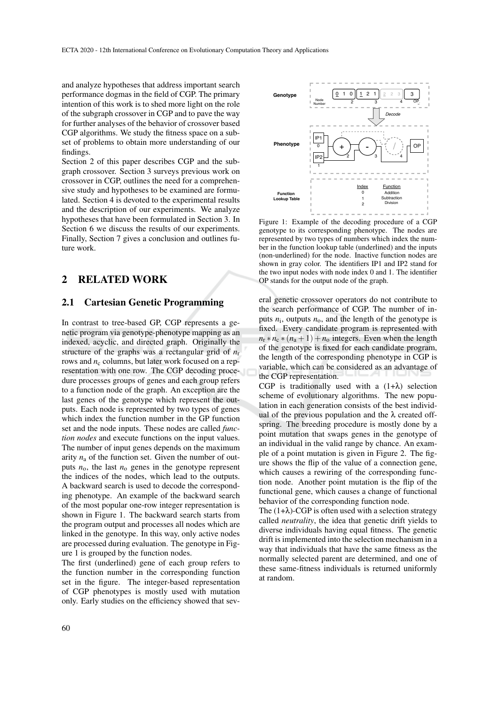and analyze hypotheses that address important search performance dogmas in the field of CGP. The primary intention of this work is to shed more light on the role of the subgraph crossover in CGP and to pave the way for further analyses of the behavior of crossover based CGP algorithms. We study the fitness space on a subset of problems to obtain more understanding of our findings.

Section 2 of this paper describes CGP and the subgraph crossover. Section 3 surveys previous work on crossover in CGP, outlines the need for a comprehensive study and hypotheses to be examined are formulated. Section 4 is devoted to the experimental results and the description of our experiments. We analyze hypotheses that have been formulated in Section 3. In Section 6 we discuss the results of our experiments. Finally, Section 7 gives a conclusion and outlines future work.

## 2 RELATED WORK

#### 2.1 Cartesian Genetic Programming

In contrast to tree-based GP, CGP represents a genetic program via genotype-phenotype mapping as an indexed, acyclic, and directed graph. Originally the structure of the graphs was a rectangular grid of *n*<sup>r</sup> rows and  $n_c$  columns, but later work focused on a representation with one row. The CGP decoding procedure processes groups of genes and each group refers to a function node of the graph. An exception are the last genes of the genotype which represent the outputs. Each node is represented by two types of genes which index the function number in the GP function set and the node inputs. These nodes are called *function nodes* and execute functions on the input values. The number of input genes depends on the maximum arity  $n_a$  of the function set. Given the number of outputs  $n_0$ , the last  $n_0$  genes in the genotype represent the indices of the nodes, which lead to the outputs. A backward search is used to decode the corresponding phenotype. An example of the backward search of the most popular one-row integer representation is shown in Figure 1. The backward search starts from the program output and processes all nodes which are linked in the genotype. In this way, only active nodes are processed during evaluation. The genotype in Figure 1 is grouped by the function nodes.

The first (underlined) gene of each group refers to the function number in the corresponding function set in the figure. The integer-based representation of CGP phenotypes is mostly used with mutation only. Early studies on the efficiency showed that sev-



Figure 1: Example of the decoding procedure of a CGP genotype to its corresponding phenotype. The nodes are represented by two types of numbers which index the number in the function lookup table (underlined) and the inputs (non-underlined) for the node. Inactive function nodes are shown in gray color. The identifiers IP1 and IP2 stand for the two input nodes with node index 0 and 1. The identifier OP stands for the output node of the graph.

eral genetic crossover operators do not contribute to the search performance of CGP. The number of inputs  $n_i$ , outputs  $n_o$ , and the length of the genotype is fixed. Every candidate program is represented with  $n_r * n_c * (n_a + 1) + n_o$  integers. Even when the length of the genotype is fixed for each candidate program, the length of the corresponding phenotype in CGP is variable, which can be considered as an advantage of the CGP representation.

CGP is traditionally used with a  $(1+\lambda)$  selection scheme of evolutionary algorithms. The new population in each generation consists of the best individual of the previous population and the  $\lambda$  created offspring. The breeding procedure is mostly done by a point mutation that swaps genes in the genotype of an individual in the valid range by chance. An example of a point mutation is given in Figure 2. The figure shows the flip of the value of a connection gene, which causes a rewiring of the corresponding function node. Another point mutation is the flip of the functional gene, which causes a change of functional behavior of the corresponding function node.

The  $(1+\lambda)$ -CGP is often used with a selection strategy called *neutrality*, the idea that genetic drift yields to diverse individuals having equal fitness. The genetic drift is implemented into the selection mechanism in a way that individuals that have the same fitness as the normally selected parent are determined, and one of these same-fitness individuals is returned uniformly at random.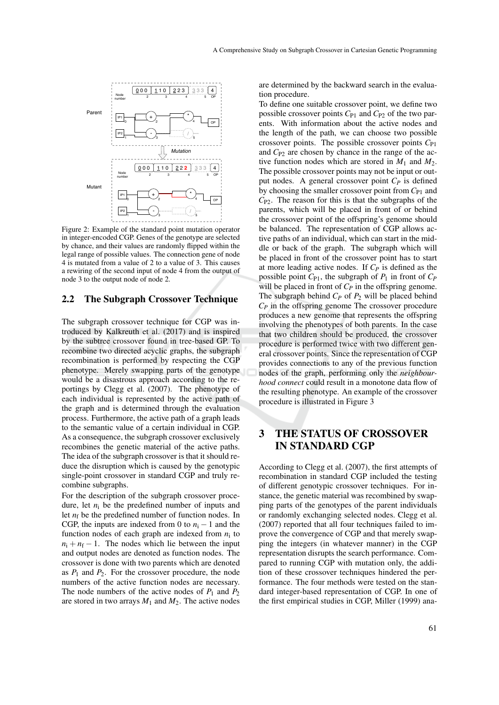

Figure 2: Example of the standard point mutation operator in integer-encoded CGP. Genes of the genotype are selected by chance, and their values are randomly flipped within the legal range of possible values. The connection gene of node 4 is mutated from a value of 2 to a value of 3. This causes a rewiring of the second input of node 4 from the output of node 3 to the output node of node 2.

#### 2.2 The Subgraph Crossover Technique

The subgraph crossover technique for CGP was introduced by Kalkreuth et al. (2017) and is inspired by the subtree crossover found in tree-based GP. To recombine two directed acyclic graphs, the subgraph recombination is performed by respecting the CGP phenotype. Merely swapping parts of the genotype would be a disastrous approach according to the reportings by Clegg et al. (2007). The phenotype of each individual is represented by the active path of the graph and is determined through the evaluation process. Furthermore, the active path of a graph leads to the semantic value of a certain individual in CGP. As a consequence, the subgraph crossover exclusively recombines the genetic material of the active paths. The idea of the subgraph crossover is that it should reduce the disruption which is caused by the genotypic single-point crossover in standard CGP and truly recombine subgraphs.

For the description of the subgraph crossover procedure, let  $n_i$  be the predefined number of inputs and let  $n_f$  be the predefined number of function nodes. In CGP, the inputs are indexed from 0 to  $n_i - 1$  and the function nodes of each graph are indexed from  $n_i$  to  $n_i + n_f - 1$ . The nodes which lie between the input and output nodes are denoted as function nodes. The crossover is done with two parents which are denoted as  $P_1$  and  $P_2$ . For the crossover procedure, the node numbers of the active function nodes are necessary. The node numbers of the active nodes of  $P_1$  and  $P_2$ are stored in two arrays  $M_1$  and  $M_2$ . The active nodes

are determined by the backward search in the evaluation procedure.

To define one suitable crossover point, we define two possible crossover points  $C_{P1}$  and  $C_{P2}$  of the two parents. With information about the active nodes and the length of the path, we can choose two possible crossover points. The possible crossover points *C*P1 and  $C_{P2}$  are chosen by chance in the range of the active function nodes which are stored in  $M_1$  and  $M_2$ . The possible crossover points may not be input or output nodes. A general crossover point *C<sup>P</sup>* is defined by choosing the smaller crossover point from  $C_{P1}$  and *C*P2. The reason for this is that the subgraphs of the parents, which will be placed in front of or behind the crossover point of the offspring's genome should be balanced. The representation of CGP allows active paths of an individual, which can start in the middle or back of the graph. The subgraph which will be placed in front of the crossover point has to start at more leading active nodes. If *C<sup>P</sup>* is defined as the possible point  $C_{P1}$ , the subgraph of  $P_1$  in front of  $C_P$ will be placed in front of  $C_P$  in the offspring genome. The subgraph behind *C<sup>P</sup>* of *P*<sup>2</sup> will be placed behind  $C_P$  in the offspring genome The crossover procedure produces a new genome that represents the offspring involving the phenotypes of both parents. In the case that two children should be produced, the crossover procedure is performed twice with two different general crossover points. Since the representation of CGP provides connections to any of the previous function nodes of the graph, performing only the *neighbourhood connect* could result in a monotone data flow of the resulting phenotype. An example of the crossover procedure is illustrated in Figure 3

## 3 THE STATUS OF CROSSOVER IN STANDARD CGP

According to Clegg et al. (2007), the first attempts of recombination in standard CGP included the testing of different genotypic crossover techniques. For instance, the genetic material was recombined by swapping parts of the genotypes of the parent individuals or randomly exchanging selected nodes. Clegg et al. (2007) reported that all four techniques failed to improve the convergence of CGP and that merely swapping the integers (in whatever manner) in the CGP representation disrupts the search performance. Compared to running CGP with mutation only, the addition of these crossover techniques hindered the performance. The four methods were tested on the standard integer-based representation of CGP. In one of the first empirical studies in CGP, Miller (1999) ana-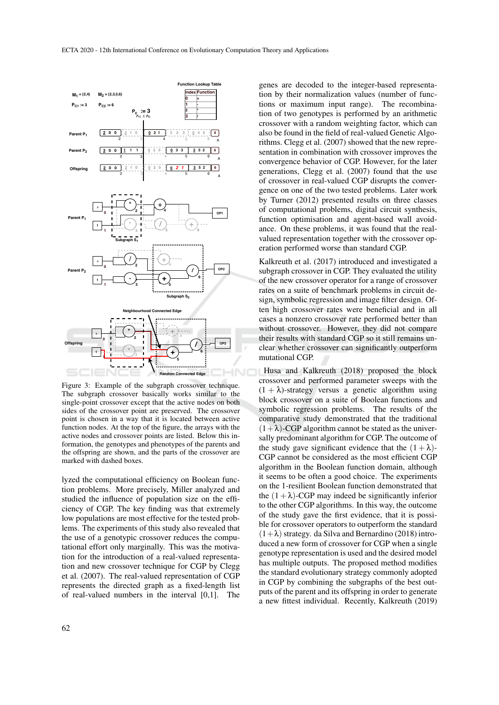

Figure 3: Example of the subgraph crossover technique. The subgraph crossover basically works similar to the single-point crossover except that the active nodes on both sides of the crossover point are preserved. The crossover point is chosen in a way that it is located between active function nodes. At the top of the figure, the arrays with the active nodes and crossover points are listed. Below this information, the genotypes and phenotypes of the parents and the offspring are shown, and the parts of the crossover are marked with dashed boxes.

lyzed the computational efficiency on Boolean function problems. More precisely, Miller analyzed and studied the influence of population size on the efficiency of CGP. The key finding was that extremely low populations are most effective for the tested problems. The experiments of this study also revealed that the use of a genotypic crossover reduces the computational effort only marginally. This was the motivation for the introduction of a real-valued representation and new crossover technique for CGP by Clegg et al. (2007). The real-valued representation of CGP represents the directed graph as a fixed-length list of real-valued numbers in the interval [0,1]. The

genes are decoded to the integer-based representation by their normalization values (number of functions or maximum input range). The recombination of two genotypes is performed by an arithmetic crossover with a random weighting factor, which can also be found in the field of real-valued Genetic Algorithms. Clegg et al. (2007) showed that the new representation in combination with crossover improves the convergence behavior of CGP. However, for the later generations, Clegg et al. (2007) found that the use of crossover in real-valued CGP disrupts the convergence on one of the two tested problems. Later work by Turner (2012) presented results on three classes of computational problems, digital circuit synthesis, function optimisation and agent-based wall avoidance. On these problems, it was found that the realvalued representation together with the crossover operation performed worse than standard CGP.

Kalkreuth et al. (2017) introduced and investigated a subgraph crossover in CGP. They evaluated the utility of the new crossover operator for a range of crossover rates on a suite of benchmark problems in circuit design, symbolic regression and image filter design. Often high crossover rates were beneficial and in all cases a nonzero crossover rate performed better than without crossover. However, they did not compare their results with standard CGP so it still remains unclear whether crossover can significantly outperform mutational CGP.

Husa and Kalkreuth (2018) proposed the block crossover and performed parameter sweeps with the  $(1 + \lambda)$ -strategy versus a genetic algorithm using block crossover on a suite of Boolean functions and symbolic regression problems. The results of the comparative study demonstrated that the traditional  $(1+\lambda)$ -CGP algorithm cannot be stated as the universally predominant algorithm for CGP. The outcome of the study gave significant evidence that the  $(1 + \lambda)$ -CGP cannot be considered as the most efficient CGP algorithm in the Boolean function domain, although it seems to be often a good choice. The experiments on the 1-resilient Boolean function demonstrated that the  $(1+\lambda)$ -CGP may indeed be significantly inferior to the other CGP algorithms. In this way, the outcome of the study gave the first evidence, that it is possible for crossover operators to outperform the standard  $(1+\lambda)$  strategy. da Silva and Bernardino (2018) introduced a new form of crossover for CGP when a single genotype representation is used and the desired model has multiple outputs. The proposed method modifies the standard evolutionary strategy commonly adopted in CGP by combining the subgraphs of the best outputs of the parent and its offspring in order to generate a new fittest individual. Recently, Kalkreuth (2019)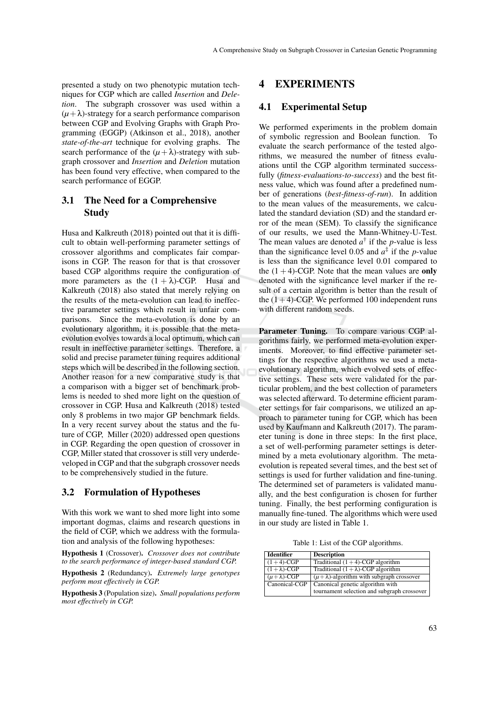presented a study on two phenotypic mutation techniques for CGP which are called *Insertion* and *Deletion*. The subgraph crossover was used within a  $(\mu + \lambda)$ -strategy for a search performance comparison between CGP and Evolving Graphs with Graph Programming (EGGP) (Atkinson et al., 2018), another *state-of-the-art* technique for evolving graphs. The search performance of the  $(\mu + \lambda)$ -strategy with subgraph crossover and *Insertion* and *Deletion* mutation has been found very effective, when compared to the search performance of EGGP.

## 3.1 The Need for a Comprehensive **Study**

Husa and Kalkreuth (2018) pointed out that it is difficult to obtain well-performing parameter settings of crossover algorithms and complicates fair comparisons in CGP. The reason for that is that crossover based CGP algorithms require the configuration of more parameters as the  $(1 + \lambda)$ -CGP. Husa and Kalkreuth (2018) also stated that merely relying on the results of the meta-evolution can lead to ineffective parameter settings which result in unfair comparisons. Since the meta-evolution is done by an evolutionary algorithm, it is possible that the metaevolution evolves towards a local optimum, which can result in ineffective parameter settings. Therefore, a solid and precise parameter tuning requires additional steps which will be described in the following section. Another reason for a new comparative study is that a comparison with a bigger set of benchmark problems is needed to shed more light on the question of crossover in CGP. Husa and Kalkreuth (2018) tested only 8 problems in two major GP benchmark fields. In a very recent survey about the status and the future of CGP, Miller (2020) addressed open questions in CGP. Regarding the open question of crossover in CGP, Miller stated that crossover is still very underdeveloped in CGP and that the subgraph crossover needs to be comprehensively studied in the future.

#### 3.2 Formulation of Hypotheses

With this work we want to shed more light into some important dogmas, claims and research questions in the field of CGP, which we address with the formulation and analysis of the following hypotheses:

Hypothesis 1 (Crossover). *Crossover does not contribute to the search performance of integer-based standard CGP.*

Hypothesis 2 (Redundancy). *Extremely large genotypes perform most effectively in CGP.*

Hypothesis 3 (Population size). *Small populations perform most effectively in CGP.*

### 4 EXPERIMENTS

## 4.1 Experimental Setup

We performed experiments in the problem domain of symbolic regression and Boolean function. To evaluate the search performance of the tested algorithms, we measured the number of fitness evaluations until the CGP algorithm terminated successfully (*fitness-evaluations-to-success*) and the best fitness value, which was found after a predefined number of generations (*best-fitness-of-run*). In addition to the mean values of the measurements, we calculated the standard deviation (SD) and the standard error of the mean (SEM). To classify the significance of our results, we used the Mann-Whitney-U-Test. The mean values are denoted  $a^{\dagger}$  if the *p*-value is less than the significance level 0.05 and  $a^{\ddagger}$  if the *p*-value is less than the significance level 0.01 compared to the  $(1 + 4)$ -CGP. Note that the mean values are only denoted with the significance level marker if the result of a certain algorithm is better than the result of the  $(1+4)$ -CGP. We performed 100 independent runs with different random seeds.

Parameter Tuning. To compare various CGP algorithms fairly, we performed meta-evolution experiments. Moreover, to find effective parameter settings for the respective algorithms we used a metaevolutionary algorithm, which evolved sets of effective settings. These sets were validated for the particular problem, and the best collection of parameters was selected afterward. To determine efficient parameter settings for fair comparisons, we utilized an approach to parameter tuning for CGP, which has been used by Kaufmann and Kalkreuth (2017). The parameter tuning is done in three steps: In the first place, a set of well-performing parameter settings is determined by a meta evolutionary algorithm. The metaevolution is repeated several times, and the best set of settings is used for further validation and fine-tuning. The determined set of parameters is validated manually, and the best configuration is chosen for further tuning. Finally, the best performing configuration is manually fine-tuned. The algorithms which were used in our study are listed in Table 1.

Table 1: List of the CGP algorithms.

| <b>Identifier</b>      | <b>Description</b>                                   |
|------------------------|------------------------------------------------------|
| $(1+4)$ -CGP           | Traditional $(1 + 4)$ -CGP algorithm                 |
| $(1 + \lambda)$ -CGP   | Traditional $(1 + \lambda)$ -CGP algorithm           |
| $(\mu + \lambda)$ -CGP | $(\mu + \lambda)$ -algorithm with subgraph crossover |
| Canonical-CGP          | Canonical genetic algorithm with                     |
|                        | tournament selection and subgraph crossover          |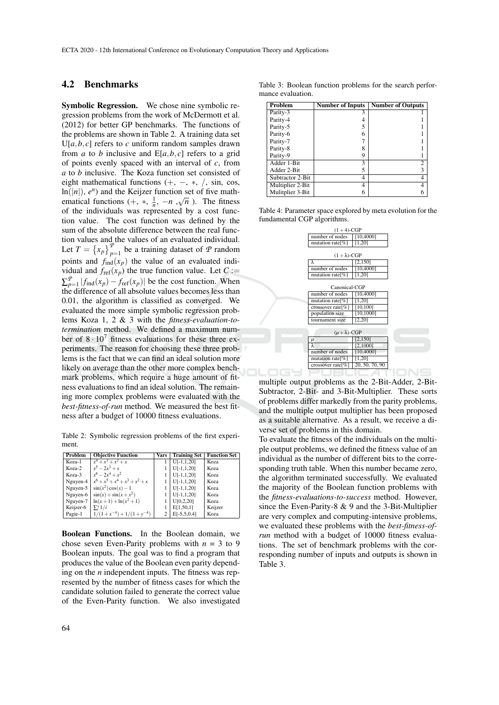#### 4.2 Benchmarks

Symbolic Regression. We chose nine symbolic regression problems from the work of McDermott et al. (2012) for better GP benchmarks. The functions of the problems are shown in Table 2. A training data set  $U[a, b, c]$  refers to *c* uniform random samples drawn from *a* to *b* inclusive and  $E[a, b, c]$  refers to a grid of points evenly spaced with an interval of *c*, from *a* to *b* inclusive. The Koza function set consisted of eight mathematical functions  $(+, -, *, /, sin, cos, ...)$  $\ln(|n|)$ ,  $e^n$  and the Keijzer function set of five mathematical functions  $(+, *, \frac{1}{n}, -n, \sqrt{n})$ . The fitness of the individuals was represented by a cost function value. The cost function was defined by the sum of the absolute difference between the real function values and the values of an evaluated individual. Let  $T = \{x_p\}_{p=1}^p$  be a training dataset of *P* random points and  $f_{\text{ind}}(x_p)$  the value of an evaluated individual and  $f_{ref}(x_p)$  the true function value. Let  $C :=$  $\sum_{p=1}^{p} |f_{\text{ind}}(x_p) - f_{\text{ref}}(x_p)|$  be the cost function. When the difference of all absolute values becomes less than 0.01, the algorithm is classified as converged. We evaluated the more simple symbolic regression problems Koza 1, 2 & 3 with the *fitness-evaluation-totermination* method. We defined a maximum number of  $8 \cdot 10^7$  fitness evaluations for these three experiments. The reason for choosing these three problems is the fact that we can find an ideal solution more likely on average than the other more complex benchmark problems, which require a huge amount of fitness evaluations to find an ideal solution. The remaining more complex problems were evaluated with the *best-fitness-of-run* method. We measured the best fitness after a budget of 10000 fitness evaluations.

Table 2: Symbolic regression problems of the first experiment.

| Problem   | <b>Objective Function</b>         | Vars | <b>Training Set</b> | <b>Function Set</b> |
|-----------|-----------------------------------|------|---------------------|---------------------|
| Koza-1    | $x^4+x^3+x^2+x$                   |      | $U[-1,1,20]$        | Koza                |
| Koza-2    | $x^5 - 2x^3 + x$                  |      | $U[-1,1,20]$        | Koza                |
| Koza-3    | $x^6 - 2x^4 + x^2$                |      | $U[-1,1,20]$        | Koza                |
| Nguyen-4  | $x^6 + x^5 + x^4 + x^3 + x^2 + x$ |      | $U[-1,1,20]$        | Koza                |
| Nguyen-5  | $sin(x^2)cos(x) - 1$              |      | $U[-1,1,20]$        | Koza                |
| Nguyen-6  | $sin(x) + sin(x + x^2)$           |      | $U[-1,1,20]$        | Koza                |
| Nguyen-7  | $ln(x+1) + ln(x^2 + 1)$           |      | U[0,2,20]           | Koza                |
| Keijzer-6 | $\sum_{i=1}^{x} 1/i$              |      | E[1, 50, 1]         | Keijzer             |
| Pagie-1   | $1/(1+x^{-4})+1/(1+y^{-4})$       | 2    | $E[-5,5,0.4]$       | Koza                |

Boolean Functions. In the Boolean domain, we chose seven Even-Parity problems with *n* = 3 to 9 Boolean inputs. The goal was to find a program that produces the value of the Boolean even parity depending on the *n* independent inputs. The fitness was represented by the number of fitness cases for which the candidate solution failed to generate the correct value of the Even-Parity function. We also investigated

| <b>Problem</b>   | <b>Number of Inputs</b> | <b>Number of Outputs</b> |
|------------------|-------------------------|--------------------------|
| Parity-3         | 3                       |                          |
| Parity-4         |                         |                          |
| Parity-5         | 5                       |                          |
| Parity-6         | 6                       |                          |
| Parity-7         |                         |                          |
| Parity-8         | 8                       |                          |
| Parity-9         | 9                       |                          |
| Adder 1-Bit      | 3                       | 2                        |
| Adder 2-Bit      | 5                       | 3                        |
| Subtractor 2-Bit | 4                       | 4                        |
| Multiplier 2-Bit | 4                       | 4                        |
| Mulitplier 3-Bit |                         | h                        |

Table 4: Parameter space explored by meta evolution for the fundamental CGP algorithms.

| $(1+4)$ -CGP           |                     |  |
|------------------------|---------------------|--|
| number of nodes        | [10,4000]           |  |
| mutation rate[%]       | [1,20]              |  |
|                        |                     |  |
| $(1 + \lambda)$ -CGP   |                     |  |
| λ                      | [2, 150]            |  |
| number of nodes        | [10,4000]           |  |
| mutation rate[%]       | [1,20]              |  |
|                        |                     |  |
| Canonical-CGP          |                     |  |
| number of nodes        | [10,4000]           |  |
| mutation rate $[\%]$   | [1,20]              |  |
| crossover rate[%]      | [10, 100]           |  |
| population size        | [10, 1000]          |  |
| tournament size        | $\overline{[2,20]}$ |  |
|                        |                     |  |
| $(\mu + \lambda)$ -CGP |                     |  |
| μ                      | [2, 150]            |  |
| λ                      | [2,1000]            |  |
| number of nodes        | [10,4000]           |  |
| mutation rate[%]       | [1,20]              |  |
| crossover rate[%]      | 20, 50, 70, 90      |  |
|                        |                     |  |

multiple output problems as the 2-Bit-Adder, 2-Bit-Subtractor, 2-Bit- and 3-Bit-Multiplier. These sorts of problems differ markedly from the parity problems, and the multiple output multiplier has been proposed as a suitable alternative. As a result, we receive a diverse set of problems in this domain.

To evaluate the fitness of the individuals on the multiple output problems, we defined the fitness value of an individual as the number of different bits to the corresponding truth table. When this number became zero, the algorithm terminated successfully. We evaluated the majority of the Boolean function problems with the *fitness-evaluations-to-success* method. However, since the Even-Parity-8 & 9 and the 3-Bit-Multiplier are very complex and computing-intensive problems, we evaluated these problems with the *best-fitness-ofrun* method with a budget of 10000 fitness evaluations. The set of benchmark problems with the corresponding number of inputs and outputs is shown in Table 3.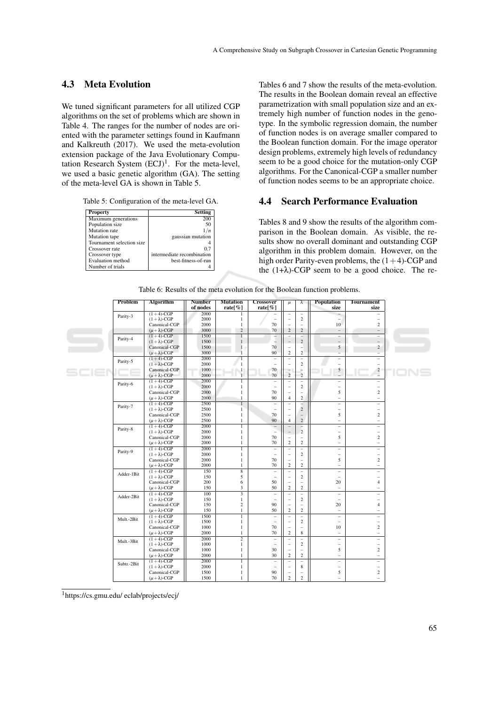### 4.3 Meta Evolution

We tuned significant parameters for all utilized CGP algorithms on the set of problems which are shown in Table 4. The ranges for the number of nodes are oriented with the parameter settings found in Kaufmann and Kalkreuth (2017). We used the meta-evolution extension package of the Java Evolutionary Computation Research System  $(ECJ)^1$ . For the meta-level, we used a basic genetic algorithm (GA). The setting of the meta-level GA is shown in Table 5.

| Property                  | <b>Setting</b>             |
|---------------------------|----------------------------|
| Maximum generations       | 200                        |
| Population size           | 50                         |
| Mutation rate             |                            |
| Mutation tape             | gaussian mutation          |
| Tournament selection size |                            |
| Crossover rate            | 0.1                        |
| Crossover type            | intermediate recombination |
| Evaluation method         | best-fitness-of-run        |
| Number of trials          |                            |

Tables 6 and 7 show the results of the meta-evolution. The results in the Boolean domain reveal an effective parametrization with small population size and an extremely high number of function nodes in the genotype. In the symbolic regression domain, the number of function nodes is on average smaller compared to the Boolean function domain. For the image operator design problems, extremely high levels of redundancy seem to be a good choice for the mutation-only CGP algorithms. For the Canonical-CGP a smaller number of function nodes seems to be an appropriate choice.

#### 4.4 Search Performance Evaluation

Tables 8 and 9 show the results of the algorithm comparison in the Boolean domain. As visible, the results show no overall dominant and outstanding CGP algorithm in this problem domain. However, on the high order Parity-even problems, the  $(1+4)$ -CGP and the  $(1+\lambda)$ -CGP seem to be a good choice. The re-

| 2000<br>$(1+4)$ -CGP<br>1<br>÷,<br>$\overline{\phantom{a}}$<br>÷<br>Parity-3<br>2000<br>$\overline{c}$<br>$(1 + \lambda)$ -CGP<br>1<br>$\sim$<br>$\sim$<br>÷.<br>$\equiv$<br>Canonical-CGP<br>2000<br>$\mathbf{1}$<br>70<br>10<br>$\overline{c}$<br>$\overline{a}$<br>÷,<br>$\sqrt{2}$<br>$\overline{c}$<br>$(\mu + \lambda)$ -CGP<br>3000<br>70<br>2<br>$\overline{\phantom{a}}$<br>$-$<br>$(1+4)$ -CGP<br>1500<br>$\overline{1}$<br>-<br>2<br>$\overline{a}$<br>$\overline{\phantom{m}}$<br>$\equiv$<br>Parity-4<br>$\overline{\phantom{0}}$<br>1500<br>$\mathbf{1}$<br>2<br>$(1 + \lambda)$ -CGP<br>$\overline{\phantom{a}}$<br>$\qquad \qquad -$<br>Canonical-CGP<br>$\mathbf{1}$<br>70<br>1500<br>5<br>2<br>$\overline{\phantom{0}}$<br>$\overline{\phantom{a}}$<br>$\overline{c}$<br>3000<br>$\mathbf{1}$<br>90<br>2<br>$(\mu + \lambda)$ -CGP<br>$\overline{\phantom{0}}$<br>$\overline{\phantom{0}}$<br>$(1+4)$ -CGP<br>2000<br>$\mathbf{1}$<br>$\overline{a}$<br>÷,<br>$\overline{\phantom{a}}$<br>÷.<br>÷<br>Parity-5<br>$\overline{c}$<br>$(1 + \lambda)$ -CGP<br>2000<br>1<br>$\overline{\phantom{0}}$<br>$\overline{\phantom{0}}$<br>$\overline{\phantom{0}}$<br>$\overline{\phantom{0}}$<br>$\frac{1}{2}$<br>Canonical-CGP<br>1000<br>70<br>$\equiv$<br>5<br>$\frac{2}{\pi}$<br>-1<br>_<br>$\overline{c}$<br>$\overline{1}$<br>70<br>$(\mu + \lambda)$ -CGP<br>2000<br>$(1+4)$ -CGP<br>2000<br>1<br>$\overline{a}$<br>$\equiv$<br>÷.<br>$\overline{\phantom{a}}$<br>$\equiv$<br>Parity-6<br>2000<br>$\overline{c}$<br>$(1 + \lambda)$ -CGP<br>$\mathbf{1}$<br>÷.<br>$\overline{\phantom{0}}$<br>$\overline{\phantom{a}}$<br>$\overline{\phantom{0}}$<br>2000<br>$\overline{c}$<br>Canonical-CGP<br>$\mathbf{1}$<br>70<br>5<br>$\overline{\phantom{a}}$<br>$\qquad \qquad -$<br>$\overline{c}$<br>$(\mu + \lambda)$ -CGP<br>2000<br>90<br>$\mathbf{1}$<br>$\overline{4}$<br>÷<br>÷.<br>$(1+4)$ -CGP<br>2500<br>$\overline{1}$<br>÷<br>$\qquad \qquad -$<br>$\overline{\phantom{a}}$<br>$\overline{\phantom{a}}$<br>÷.<br>Parity-7<br>$\overline{2}$<br>$(1 + \lambda)$ -CGP<br>2500<br>1<br>$\overline{a}$<br>$\overline{\phantom{a}}$<br>$\equiv$<br>$\qquad \qquad -$<br>5<br>$\overline{c}$<br>Canonical-CGP<br>2500<br>1<br>70<br>$\overline{a}$<br>$\overline{\phantom{m}}$<br>$\overline{c}$<br>90<br>$(\mu + \lambda)$ -CGP<br>2500<br>$\mathbf{1}$<br>$\overline{4}$<br>$\qquad \qquad -$<br>÷.<br>2000<br>$(1+4)$ -CGP<br>$\mathbf{1}$<br>$\equiv$<br>$\frac{1}{2}$<br>$\overline{a}$<br>$\equiv$<br>÷.<br>Parity-8<br>$\overline{c}$<br>$\mathbf{1}$<br>$(1 + \lambda)$ -CGP<br>2000<br>$\overline{\phantom{a}}$<br>$\equiv$<br>÷.<br>$\overline{\phantom{a}}$<br>2000<br>$\mathbf{1}$<br>5<br>$\overline{c}$<br>Canonical-CGP<br>70<br>$\sim$<br>$\overline{\phantom{0}}$<br>70<br>2<br>$\overline{2}$<br>$(\mu + \lambda)$ -CGP<br>2000<br>$\mathbf{1}$<br>$\qquad \qquad -$<br>$\frac{1}{2}$<br>$(1+4)$ -CGP<br>2000<br>1<br>$\overline{\phantom{a}}$<br>÷.<br>$\overline{\phantom{a}}$<br>÷.<br>$\overline{\phantom{m}}$<br>Parity-9<br>$(1 + \lambda)$ -CGP<br>2000<br>$\mathbf{1}$<br>$\mathbf{2}$<br>$\equiv$<br>$\overline{\phantom{m}}$<br>$\overline{\phantom{m}}$<br>$\overline{\phantom{0}}$<br>5<br>Canonical-CGP<br>2000<br>$\mathbf{1}$<br>$\overline{c}$<br>70<br>$\qquad \qquad -$<br>$\overline{\phantom{a}}$<br>$\overline{c}$<br>$(\mu + \lambda)$ -CGP<br>$\mathbf{1}$<br>2<br>2000<br>70<br>$\overline{\phantom{a}}$<br>$\frac{1}{2}$<br>$(1+4)$ -CGP<br>150<br>$\overline{8}$<br>$\equiv$<br>$\overline{\phantom{0}}$<br>$\overline{\phantom{m}}$<br>$\qquad \qquad -$<br>$\overline{\phantom{a}}$<br>Adder-1Bit<br>$(1 + \lambda)$ -CGP<br>5<br>$\mathbf{2}$<br>150<br>$\equiv$<br>$\overline{\phantom{m}}$<br>$\overline{\phantom{m}}$<br>$\equiv$<br>Canonical-CGP<br>200<br>6<br>20<br>$\overline{4}$<br>50<br>÷<br>$\overline{\phantom{a}}$<br>3<br>$\overline{c}$<br>150<br>50<br>2<br>$(\mu + \lambda)$ -CGP<br>$\overline{\phantom{a}}$<br>$\overline{\phantom{m}}$<br>$(1+4)$ -CGP<br>100<br>÷,<br>$\overline{\phantom{a}}$<br>$\qquad \qquad -$<br>$\overline{\phantom{a}}$<br>$\qquad \qquad -$<br>Adder-2Bit<br>$\mathbf{1}$<br>$\overline{c}$<br>$(1 + \lambda)$ -CGP<br>150<br>$\overline{\phantom{a}}$<br>$\sim$<br>$\overline{\phantom{a}}$<br>÷.<br>Canonical-CGP<br>150<br>$\mathbf{2}$<br>90<br>20<br>÷,<br>$\overline{4}$<br>$\overline{\phantom{a}}$<br>$\mathbf{1}$<br>$\overline{c}$<br>$(\mu + \lambda)$ -CGP<br>150<br>50<br>$\overline{2}$<br>$\overline{\phantom{a}}$<br>$\overline{\phantom{a}}$<br>1500<br>$(1+4)$ -CGP<br>$\overline{1}$<br>Ξ<br>$\overline{\phantom{a}}$<br>$\overline{\phantom{0}}$<br>÷<br>$\overline{\phantom{0}}$<br>Mult.-2Bit<br>$\overline{c}$<br>$(1 + \lambda)$ -CGP<br>1500<br>$\mathbf{1}$<br>$\qquad \qquad -$<br>$\overline{\phantom{m}}$<br>$\overline{\phantom{m}}$<br>$\qquad \qquad =$<br>Canonical-CGP<br>1000<br>$\mathbf{1}$<br>70<br>10<br>$\mathbf{2}$<br>$\overline{\phantom{0}}$<br>8<br>$\mathbf{1}$<br>70<br>2<br>2000<br>$(\mu + \lambda)$ -CGP<br>$\overline{\phantom{a}}$<br>÷<br>$\overline{2}$<br>2000<br>$(1+4)$ -CGP<br>$\overline{a}$<br>$\overline{a}$<br>$\overline{a}$<br>$\overline{\phantom{a}}$<br>$\qquad \qquad -$<br>Mult.-3Bit<br>$\overline{c}$<br>$(1 + \lambda)$ -CGP<br>1000<br>$\mathbf{1}$<br>$\equiv$<br>$\overline{\phantom{m}}$<br>$\overline{\phantom{a}}$<br>$\qquad \qquad -$<br>5<br>$\overline{c}$<br>Canonical-CGP<br>1000<br>$\mathbf{1}$<br>30<br>÷,<br>$\overline{a}$<br>$\overline{c}$<br>2000<br>$\mathbf{1}$<br>30<br>2<br>$(\mu + \lambda)$ -CGP<br>÷.<br>÷<br>$(1+4)$ -CGP<br>2000<br>$\overline{1}$<br>$\equiv$<br>$\equiv$<br>$\equiv$<br>$\equiv$<br>$\overline{\phantom{a}}$<br>Subtr.-2Bit<br>$(1 + \lambda)$ -CGP<br>2000<br>$\mathbf{1}$<br>8<br>$\overline{\phantom{a}}$<br>$\equiv$<br>$\qquad \qquad -$<br>$\qquad \qquad -$<br>5<br>$\overline{c}$<br>Canonical-CGP<br>1500<br>$\mathbf{1}$<br>90<br>$\overline{\phantom{0}}$<br>$\qquad \qquad -$<br>1500<br>70<br>2<br>$\overline{c}$<br>$(\mu + \lambda)$ -CGP<br>1<br>$\equiv$<br>$\equiv$ | Problem | Algorithm | <b>Number</b><br>of nodes | <b>Mutation</b><br>rate[ $%$ ] | Crossover<br>rate $\lceil \% \rceil$ | $\mu$ | λ | Population<br>size | <b>Tournament</b><br>size |
|---------------------------------------------------------------------------------------------------------------------------------------------------------------------------------------------------------------------------------------------------------------------------------------------------------------------------------------------------------------------------------------------------------------------------------------------------------------------------------------------------------------------------------------------------------------------------------------------------------------------------------------------------------------------------------------------------------------------------------------------------------------------------------------------------------------------------------------------------------------------------------------------------------------------------------------------------------------------------------------------------------------------------------------------------------------------------------------------------------------------------------------------------------------------------------------------------------------------------------------------------------------------------------------------------------------------------------------------------------------------------------------------------------------------------------------------------------------------------------------------------------------------------------------------------------------------------------------------------------------------------------------------------------------------------------------------------------------------------------------------------------------------------------------------------------------------------------------------------------------------------------------------------------------------------------------------------------------------------------------------------------------------------------------------------------------------------------------------------------------------------------------------------------------------------------------------------------------------------------------------------------------------------------------------------------------------------------------------------------------------------------------------------------------------------------------------------------------------------------------------------------------------------------------------------------------------------------------------------------------------------------------------------------------------------------------------------------------------------------------------------------------------------------------------------------------------------------------------------------------------------------------------------------------------------------------------------------------------------------------------------------------------------------------------------------------------------------------------------------------------------------------------------------------------------------------------------------------------------------------------------------------------------------------------------------------------------------------------------------------------------------------------------------------------------------------------------------------------------------------------------------------------------------------------------------------------------------------------------------------------------------------------------------------------------------------------------------------------------------------------------------------------------------------------------------------------------------------------------------------------------------------------------------------------------------------------------------------------------------------------------------------------------------------------------------------------------------------------------------------------------------------------------------------------------------------------------------------------------------------------------------------------------------------------------------------------------------------------------------------------------------------------------------------------------------------------------------------------------------------------------------------------------------------------------------------------------------------------------------------------------------------------------------------------------------------------------------------------------------------------------------------------------------------------------------------------------------------------------------------------------------------------------------------------------------------------------------------------------------------------------------------------------------------------------------------------------------------------------------------------------------------------------------------------------------------------------------------------------------------------------------------------------------------------------------------------------------------------------------------------------------------------------------------------------------------------------------------------------------------------------------------------------------------------------------------------------------------------------------------------------------------------------------------------------------------------------------------------------------------------------------------------------------------------------------------------------------------------------------------------------------------------------------------------------------------------------------------------------------------------------------------------------------------------------------------------------------------------------------------------------|---------|-----------|---------------------------|--------------------------------|--------------------------------------|-------|---|--------------------|---------------------------|
|                                                                                                                                                                                                                                                                                                                                                                                                                                                                                                                                                                                                                                                                                                                                                                                                                                                                                                                                                                                                                                                                                                                                                                                                                                                                                                                                                                                                                                                                                                                                                                                                                                                                                                                                                                                                                                                                                                                                                                                                                                                                                                                                                                                                                                                                                                                                                                                                                                                                                                                                                                                                                                                                                                                                                                                                                                                                                                                                                                                                                                                                                                                                                                                                                                                                                                                                                                                                                                                                                                                                                                                                                                                                                                                                                                                                                                                                                                                                                                                                                                                                                                                                                                                                                                                                                                                                                                                                                                                                                                                                                                                                                                                                                                                                                                                                                                                                                                                                                                                                                                                                                                                                                                                                                                                                                                                                                                                                                                                                                                                                                                                                                                                                                                                                                                                                                                                                                                                                                                                                                                                                                                                           |         |           |                           |                                |                                      |       |   |                    |                           |
|                                                                                                                                                                                                                                                                                                                                                                                                                                                                                                                                                                                                                                                                                                                                                                                                                                                                                                                                                                                                                                                                                                                                                                                                                                                                                                                                                                                                                                                                                                                                                                                                                                                                                                                                                                                                                                                                                                                                                                                                                                                                                                                                                                                                                                                                                                                                                                                                                                                                                                                                                                                                                                                                                                                                                                                                                                                                                                                                                                                                                                                                                                                                                                                                                                                                                                                                                                                                                                                                                                                                                                                                                                                                                                                                                                                                                                                                                                                                                                                                                                                                                                                                                                                                                                                                                                                                                                                                                                                                                                                                                                                                                                                                                                                                                                                                                                                                                                                                                                                                                                                                                                                                                                                                                                                                                                                                                                                                                                                                                                                                                                                                                                                                                                                                                                                                                                                                                                                                                                                                                                                                                                                           |         |           |                           |                                |                                      |       |   |                    |                           |
|                                                                                                                                                                                                                                                                                                                                                                                                                                                                                                                                                                                                                                                                                                                                                                                                                                                                                                                                                                                                                                                                                                                                                                                                                                                                                                                                                                                                                                                                                                                                                                                                                                                                                                                                                                                                                                                                                                                                                                                                                                                                                                                                                                                                                                                                                                                                                                                                                                                                                                                                                                                                                                                                                                                                                                                                                                                                                                                                                                                                                                                                                                                                                                                                                                                                                                                                                                                                                                                                                                                                                                                                                                                                                                                                                                                                                                                                                                                                                                                                                                                                                                                                                                                                                                                                                                                                                                                                                                                                                                                                                                                                                                                                                                                                                                                                                                                                                                                                                                                                                                                                                                                                                                                                                                                                                                                                                                                                                                                                                                                                                                                                                                                                                                                                                                                                                                                                                                                                                                                                                                                                                                                           |         |           |                           |                                |                                      |       |   |                    |                           |
|                                                                                                                                                                                                                                                                                                                                                                                                                                                                                                                                                                                                                                                                                                                                                                                                                                                                                                                                                                                                                                                                                                                                                                                                                                                                                                                                                                                                                                                                                                                                                                                                                                                                                                                                                                                                                                                                                                                                                                                                                                                                                                                                                                                                                                                                                                                                                                                                                                                                                                                                                                                                                                                                                                                                                                                                                                                                                                                                                                                                                                                                                                                                                                                                                                                                                                                                                                                                                                                                                                                                                                                                                                                                                                                                                                                                                                                                                                                                                                                                                                                                                                                                                                                                                                                                                                                                                                                                                                                                                                                                                                                                                                                                                                                                                                                                                                                                                                                                                                                                                                                                                                                                                                                                                                                                                                                                                                                                                                                                                                                                                                                                                                                                                                                                                                                                                                                                                                                                                                                                                                                                                                                           |         |           |                           |                                |                                      |       |   |                    |                           |
|                                                                                                                                                                                                                                                                                                                                                                                                                                                                                                                                                                                                                                                                                                                                                                                                                                                                                                                                                                                                                                                                                                                                                                                                                                                                                                                                                                                                                                                                                                                                                                                                                                                                                                                                                                                                                                                                                                                                                                                                                                                                                                                                                                                                                                                                                                                                                                                                                                                                                                                                                                                                                                                                                                                                                                                                                                                                                                                                                                                                                                                                                                                                                                                                                                                                                                                                                                                                                                                                                                                                                                                                                                                                                                                                                                                                                                                                                                                                                                                                                                                                                                                                                                                                                                                                                                                                                                                                                                                                                                                                                                                                                                                                                                                                                                                                                                                                                                                                                                                                                                                                                                                                                                                                                                                                                                                                                                                                                                                                                                                                                                                                                                                                                                                                                                                                                                                                                                                                                                                                                                                                                                                           |         |           |                           |                                |                                      |       |   |                    |                           |
|                                                                                                                                                                                                                                                                                                                                                                                                                                                                                                                                                                                                                                                                                                                                                                                                                                                                                                                                                                                                                                                                                                                                                                                                                                                                                                                                                                                                                                                                                                                                                                                                                                                                                                                                                                                                                                                                                                                                                                                                                                                                                                                                                                                                                                                                                                                                                                                                                                                                                                                                                                                                                                                                                                                                                                                                                                                                                                                                                                                                                                                                                                                                                                                                                                                                                                                                                                                                                                                                                                                                                                                                                                                                                                                                                                                                                                                                                                                                                                                                                                                                                                                                                                                                                                                                                                                                                                                                                                                                                                                                                                                                                                                                                                                                                                                                                                                                                                                                                                                                                                                                                                                                                                                                                                                                                                                                                                                                                                                                                                                                                                                                                                                                                                                                                                                                                                                                                                                                                                                                                                                                                                                           |         |           |                           |                                |                                      |       |   |                    |                           |
|                                                                                                                                                                                                                                                                                                                                                                                                                                                                                                                                                                                                                                                                                                                                                                                                                                                                                                                                                                                                                                                                                                                                                                                                                                                                                                                                                                                                                                                                                                                                                                                                                                                                                                                                                                                                                                                                                                                                                                                                                                                                                                                                                                                                                                                                                                                                                                                                                                                                                                                                                                                                                                                                                                                                                                                                                                                                                                                                                                                                                                                                                                                                                                                                                                                                                                                                                                                                                                                                                                                                                                                                                                                                                                                                                                                                                                                                                                                                                                                                                                                                                                                                                                                                                                                                                                                                                                                                                                                                                                                                                                                                                                                                                                                                                                                                                                                                                                                                                                                                                                                                                                                                                                                                                                                                                                                                                                                                                                                                                                                                                                                                                                                                                                                                                                                                                                                                                                                                                                                                                                                                                                                           |         |           |                           |                                |                                      |       |   |                    |                           |
|                                                                                                                                                                                                                                                                                                                                                                                                                                                                                                                                                                                                                                                                                                                                                                                                                                                                                                                                                                                                                                                                                                                                                                                                                                                                                                                                                                                                                                                                                                                                                                                                                                                                                                                                                                                                                                                                                                                                                                                                                                                                                                                                                                                                                                                                                                                                                                                                                                                                                                                                                                                                                                                                                                                                                                                                                                                                                                                                                                                                                                                                                                                                                                                                                                                                                                                                                                                                                                                                                                                                                                                                                                                                                                                                                                                                                                                                                                                                                                                                                                                                                                                                                                                                                                                                                                                                                                                                                                                                                                                                                                                                                                                                                                                                                                                                                                                                                                                                                                                                                                                                                                                                                                                                                                                                                                                                                                                                                                                                                                                                                                                                                                                                                                                                                                                                                                                                                                                                                                                                                                                                                                                           |         |           |                           |                                |                                      |       |   |                    |                           |
|                                                                                                                                                                                                                                                                                                                                                                                                                                                                                                                                                                                                                                                                                                                                                                                                                                                                                                                                                                                                                                                                                                                                                                                                                                                                                                                                                                                                                                                                                                                                                                                                                                                                                                                                                                                                                                                                                                                                                                                                                                                                                                                                                                                                                                                                                                                                                                                                                                                                                                                                                                                                                                                                                                                                                                                                                                                                                                                                                                                                                                                                                                                                                                                                                                                                                                                                                                                                                                                                                                                                                                                                                                                                                                                                                                                                                                                                                                                                                                                                                                                                                                                                                                                                                                                                                                                                                                                                                                                                                                                                                                                                                                                                                                                                                                                                                                                                                                                                                                                                                                                                                                                                                                                                                                                                                                                                                                                                                                                                                                                                                                                                                                                                                                                                                                                                                                                                                                                                                                                                                                                                                                                           |         |           |                           |                                |                                      |       |   |                    |                           |
|                                                                                                                                                                                                                                                                                                                                                                                                                                                                                                                                                                                                                                                                                                                                                                                                                                                                                                                                                                                                                                                                                                                                                                                                                                                                                                                                                                                                                                                                                                                                                                                                                                                                                                                                                                                                                                                                                                                                                                                                                                                                                                                                                                                                                                                                                                                                                                                                                                                                                                                                                                                                                                                                                                                                                                                                                                                                                                                                                                                                                                                                                                                                                                                                                                                                                                                                                                                                                                                                                                                                                                                                                                                                                                                                                                                                                                                                                                                                                                                                                                                                                                                                                                                                                                                                                                                                                                                                                                                                                                                                                                                                                                                                                                                                                                                                                                                                                                                                                                                                                                                                                                                                                                                                                                                                                                                                                                                                                                                                                                                                                                                                                                                                                                                                                                                                                                                                                                                                                                                                                                                                                                                           |         |           |                           |                                |                                      |       |   |                    |                           |
|                                                                                                                                                                                                                                                                                                                                                                                                                                                                                                                                                                                                                                                                                                                                                                                                                                                                                                                                                                                                                                                                                                                                                                                                                                                                                                                                                                                                                                                                                                                                                                                                                                                                                                                                                                                                                                                                                                                                                                                                                                                                                                                                                                                                                                                                                                                                                                                                                                                                                                                                                                                                                                                                                                                                                                                                                                                                                                                                                                                                                                                                                                                                                                                                                                                                                                                                                                                                                                                                                                                                                                                                                                                                                                                                                                                                                                                                                                                                                                                                                                                                                                                                                                                                                                                                                                                                                                                                                                                                                                                                                                                                                                                                                                                                                                                                                                                                                                                                                                                                                                                                                                                                                                                                                                                                                                                                                                                                                                                                                                                                                                                                                                                                                                                                                                                                                                                                                                                                                                                                                                                                                                                           |         |           |                           |                                |                                      |       |   |                    |                           |
|                                                                                                                                                                                                                                                                                                                                                                                                                                                                                                                                                                                                                                                                                                                                                                                                                                                                                                                                                                                                                                                                                                                                                                                                                                                                                                                                                                                                                                                                                                                                                                                                                                                                                                                                                                                                                                                                                                                                                                                                                                                                                                                                                                                                                                                                                                                                                                                                                                                                                                                                                                                                                                                                                                                                                                                                                                                                                                                                                                                                                                                                                                                                                                                                                                                                                                                                                                                                                                                                                                                                                                                                                                                                                                                                                                                                                                                                                                                                                                                                                                                                                                                                                                                                                                                                                                                                                                                                                                                                                                                                                                                                                                                                                                                                                                                                                                                                                                                                                                                                                                                                                                                                                                                                                                                                                                                                                                                                                                                                                                                                                                                                                                                                                                                                                                                                                                                                                                                                                                                                                                                                                                                           |         |           |                           |                                |                                      |       |   |                    |                           |
|                                                                                                                                                                                                                                                                                                                                                                                                                                                                                                                                                                                                                                                                                                                                                                                                                                                                                                                                                                                                                                                                                                                                                                                                                                                                                                                                                                                                                                                                                                                                                                                                                                                                                                                                                                                                                                                                                                                                                                                                                                                                                                                                                                                                                                                                                                                                                                                                                                                                                                                                                                                                                                                                                                                                                                                                                                                                                                                                                                                                                                                                                                                                                                                                                                                                                                                                                                                                                                                                                                                                                                                                                                                                                                                                                                                                                                                                                                                                                                                                                                                                                                                                                                                                                                                                                                                                                                                                                                                                                                                                                                                                                                                                                                                                                                                                                                                                                                                                                                                                                                                                                                                                                                                                                                                                                                                                                                                                                                                                                                                                                                                                                                                                                                                                                                                                                                                                                                                                                                                                                                                                                                                           |         |           |                           |                                |                                      |       |   |                    |                           |
|                                                                                                                                                                                                                                                                                                                                                                                                                                                                                                                                                                                                                                                                                                                                                                                                                                                                                                                                                                                                                                                                                                                                                                                                                                                                                                                                                                                                                                                                                                                                                                                                                                                                                                                                                                                                                                                                                                                                                                                                                                                                                                                                                                                                                                                                                                                                                                                                                                                                                                                                                                                                                                                                                                                                                                                                                                                                                                                                                                                                                                                                                                                                                                                                                                                                                                                                                                                                                                                                                                                                                                                                                                                                                                                                                                                                                                                                                                                                                                                                                                                                                                                                                                                                                                                                                                                                                                                                                                                                                                                                                                                                                                                                                                                                                                                                                                                                                                                                                                                                                                                                                                                                                                                                                                                                                                                                                                                                                                                                                                                                                                                                                                                                                                                                                                                                                                                                                                                                                                                                                                                                                                                           |         |           |                           |                                |                                      |       |   |                    |                           |
|                                                                                                                                                                                                                                                                                                                                                                                                                                                                                                                                                                                                                                                                                                                                                                                                                                                                                                                                                                                                                                                                                                                                                                                                                                                                                                                                                                                                                                                                                                                                                                                                                                                                                                                                                                                                                                                                                                                                                                                                                                                                                                                                                                                                                                                                                                                                                                                                                                                                                                                                                                                                                                                                                                                                                                                                                                                                                                                                                                                                                                                                                                                                                                                                                                                                                                                                                                                                                                                                                                                                                                                                                                                                                                                                                                                                                                                                                                                                                                                                                                                                                                                                                                                                                                                                                                                                                                                                                                                                                                                                                                                                                                                                                                                                                                                                                                                                                                                                                                                                                                                                                                                                                                                                                                                                                                                                                                                                                                                                                                                                                                                                                                                                                                                                                                                                                                                                                                                                                                                                                                                                                                                           |         |           |                           |                                |                                      |       |   |                    |                           |
|                                                                                                                                                                                                                                                                                                                                                                                                                                                                                                                                                                                                                                                                                                                                                                                                                                                                                                                                                                                                                                                                                                                                                                                                                                                                                                                                                                                                                                                                                                                                                                                                                                                                                                                                                                                                                                                                                                                                                                                                                                                                                                                                                                                                                                                                                                                                                                                                                                                                                                                                                                                                                                                                                                                                                                                                                                                                                                                                                                                                                                                                                                                                                                                                                                                                                                                                                                                                                                                                                                                                                                                                                                                                                                                                                                                                                                                                                                                                                                                                                                                                                                                                                                                                                                                                                                                                                                                                                                                                                                                                                                                                                                                                                                                                                                                                                                                                                                                                                                                                                                                                                                                                                                                                                                                                                                                                                                                                                                                                                                                                                                                                                                                                                                                                                                                                                                                                                                                                                                                                                                                                                                                           |         |           |                           |                                |                                      |       |   |                    |                           |
|                                                                                                                                                                                                                                                                                                                                                                                                                                                                                                                                                                                                                                                                                                                                                                                                                                                                                                                                                                                                                                                                                                                                                                                                                                                                                                                                                                                                                                                                                                                                                                                                                                                                                                                                                                                                                                                                                                                                                                                                                                                                                                                                                                                                                                                                                                                                                                                                                                                                                                                                                                                                                                                                                                                                                                                                                                                                                                                                                                                                                                                                                                                                                                                                                                                                                                                                                                                                                                                                                                                                                                                                                                                                                                                                                                                                                                                                                                                                                                                                                                                                                                                                                                                                                                                                                                                                                                                                                                                                                                                                                                                                                                                                                                                                                                                                                                                                                                                                                                                                                                                                                                                                                                                                                                                                                                                                                                                                                                                                                                                                                                                                                                                                                                                                                                                                                                                                                                                                                                                                                                                                                                                           |         |           |                           |                                |                                      |       |   |                    |                           |
|                                                                                                                                                                                                                                                                                                                                                                                                                                                                                                                                                                                                                                                                                                                                                                                                                                                                                                                                                                                                                                                                                                                                                                                                                                                                                                                                                                                                                                                                                                                                                                                                                                                                                                                                                                                                                                                                                                                                                                                                                                                                                                                                                                                                                                                                                                                                                                                                                                                                                                                                                                                                                                                                                                                                                                                                                                                                                                                                                                                                                                                                                                                                                                                                                                                                                                                                                                                                                                                                                                                                                                                                                                                                                                                                                                                                                                                                                                                                                                                                                                                                                                                                                                                                                                                                                                                                                                                                                                                                                                                                                                                                                                                                                                                                                                                                                                                                                                                                                                                                                                                                                                                                                                                                                                                                                                                                                                                                                                                                                                                                                                                                                                                                                                                                                                                                                                                                                                                                                                                                                                                                                                                           |         |           |                           |                                |                                      |       |   |                    |                           |
|                                                                                                                                                                                                                                                                                                                                                                                                                                                                                                                                                                                                                                                                                                                                                                                                                                                                                                                                                                                                                                                                                                                                                                                                                                                                                                                                                                                                                                                                                                                                                                                                                                                                                                                                                                                                                                                                                                                                                                                                                                                                                                                                                                                                                                                                                                                                                                                                                                                                                                                                                                                                                                                                                                                                                                                                                                                                                                                                                                                                                                                                                                                                                                                                                                                                                                                                                                                                                                                                                                                                                                                                                                                                                                                                                                                                                                                                                                                                                                                                                                                                                                                                                                                                                                                                                                                                                                                                                                                                                                                                                                                                                                                                                                                                                                                                                                                                                                                                                                                                                                                                                                                                                                                                                                                                                                                                                                                                                                                                                                                                                                                                                                                                                                                                                                                                                                                                                                                                                                                                                                                                                                                           |         |           |                           |                                |                                      |       |   |                    |                           |
|                                                                                                                                                                                                                                                                                                                                                                                                                                                                                                                                                                                                                                                                                                                                                                                                                                                                                                                                                                                                                                                                                                                                                                                                                                                                                                                                                                                                                                                                                                                                                                                                                                                                                                                                                                                                                                                                                                                                                                                                                                                                                                                                                                                                                                                                                                                                                                                                                                                                                                                                                                                                                                                                                                                                                                                                                                                                                                                                                                                                                                                                                                                                                                                                                                                                                                                                                                                                                                                                                                                                                                                                                                                                                                                                                                                                                                                                                                                                                                                                                                                                                                                                                                                                                                                                                                                                                                                                                                                                                                                                                                                                                                                                                                                                                                                                                                                                                                                                                                                                                                                                                                                                                                                                                                                                                                                                                                                                                                                                                                                                                                                                                                                                                                                                                                                                                                                                                                                                                                                                                                                                                                                           |         |           |                           |                                |                                      |       |   |                    |                           |
|                                                                                                                                                                                                                                                                                                                                                                                                                                                                                                                                                                                                                                                                                                                                                                                                                                                                                                                                                                                                                                                                                                                                                                                                                                                                                                                                                                                                                                                                                                                                                                                                                                                                                                                                                                                                                                                                                                                                                                                                                                                                                                                                                                                                                                                                                                                                                                                                                                                                                                                                                                                                                                                                                                                                                                                                                                                                                                                                                                                                                                                                                                                                                                                                                                                                                                                                                                                                                                                                                                                                                                                                                                                                                                                                                                                                                                                                                                                                                                                                                                                                                                                                                                                                                                                                                                                                                                                                                                                                                                                                                                                                                                                                                                                                                                                                                                                                                                                                                                                                                                                                                                                                                                                                                                                                                                                                                                                                                                                                                                                                                                                                                                                                                                                                                                                                                                                                                                                                                                                                                                                                                                                           |         |           |                           |                                |                                      |       |   |                    |                           |
|                                                                                                                                                                                                                                                                                                                                                                                                                                                                                                                                                                                                                                                                                                                                                                                                                                                                                                                                                                                                                                                                                                                                                                                                                                                                                                                                                                                                                                                                                                                                                                                                                                                                                                                                                                                                                                                                                                                                                                                                                                                                                                                                                                                                                                                                                                                                                                                                                                                                                                                                                                                                                                                                                                                                                                                                                                                                                                                                                                                                                                                                                                                                                                                                                                                                                                                                                                                                                                                                                                                                                                                                                                                                                                                                                                                                                                                                                                                                                                                                                                                                                                                                                                                                                                                                                                                                                                                                                                                                                                                                                                                                                                                                                                                                                                                                                                                                                                                                                                                                                                                                                                                                                                                                                                                                                                                                                                                                                                                                                                                                                                                                                                                                                                                                                                                                                                                                                                                                                                                                                                                                                                                           |         |           |                           |                                |                                      |       |   |                    |                           |
|                                                                                                                                                                                                                                                                                                                                                                                                                                                                                                                                                                                                                                                                                                                                                                                                                                                                                                                                                                                                                                                                                                                                                                                                                                                                                                                                                                                                                                                                                                                                                                                                                                                                                                                                                                                                                                                                                                                                                                                                                                                                                                                                                                                                                                                                                                                                                                                                                                                                                                                                                                                                                                                                                                                                                                                                                                                                                                                                                                                                                                                                                                                                                                                                                                                                                                                                                                                                                                                                                                                                                                                                                                                                                                                                                                                                                                                                                                                                                                                                                                                                                                                                                                                                                                                                                                                                                                                                                                                                                                                                                                                                                                                                                                                                                                                                                                                                                                                                                                                                                                                                                                                                                                                                                                                                                                                                                                                                                                                                                                                                                                                                                                                                                                                                                                                                                                                                                                                                                                                                                                                                                                                           |         |           |                           |                                |                                      |       |   |                    |                           |
|                                                                                                                                                                                                                                                                                                                                                                                                                                                                                                                                                                                                                                                                                                                                                                                                                                                                                                                                                                                                                                                                                                                                                                                                                                                                                                                                                                                                                                                                                                                                                                                                                                                                                                                                                                                                                                                                                                                                                                                                                                                                                                                                                                                                                                                                                                                                                                                                                                                                                                                                                                                                                                                                                                                                                                                                                                                                                                                                                                                                                                                                                                                                                                                                                                                                                                                                                                                                                                                                                                                                                                                                                                                                                                                                                                                                                                                                                                                                                                                                                                                                                                                                                                                                                                                                                                                                                                                                                                                                                                                                                                                                                                                                                                                                                                                                                                                                                                                                                                                                                                                                                                                                                                                                                                                                                                                                                                                                                                                                                                                                                                                                                                                                                                                                                                                                                                                                                                                                                                                                                                                                                                                           |         |           |                           |                                |                                      |       |   |                    |                           |
|                                                                                                                                                                                                                                                                                                                                                                                                                                                                                                                                                                                                                                                                                                                                                                                                                                                                                                                                                                                                                                                                                                                                                                                                                                                                                                                                                                                                                                                                                                                                                                                                                                                                                                                                                                                                                                                                                                                                                                                                                                                                                                                                                                                                                                                                                                                                                                                                                                                                                                                                                                                                                                                                                                                                                                                                                                                                                                                                                                                                                                                                                                                                                                                                                                                                                                                                                                                                                                                                                                                                                                                                                                                                                                                                                                                                                                                                                                                                                                                                                                                                                                                                                                                                                                                                                                                                                                                                                                                                                                                                                                                                                                                                                                                                                                                                                                                                                                                                                                                                                                                                                                                                                                                                                                                                                                                                                                                                                                                                                                                                                                                                                                                                                                                                                                                                                                                                                                                                                                                                                                                                                                                           |         |           |                           |                                |                                      |       |   |                    |                           |
|                                                                                                                                                                                                                                                                                                                                                                                                                                                                                                                                                                                                                                                                                                                                                                                                                                                                                                                                                                                                                                                                                                                                                                                                                                                                                                                                                                                                                                                                                                                                                                                                                                                                                                                                                                                                                                                                                                                                                                                                                                                                                                                                                                                                                                                                                                                                                                                                                                                                                                                                                                                                                                                                                                                                                                                                                                                                                                                                                                                                                                                                                                                                                                                                                                                                                                                                                                                                                                                                                                                                                                                                                                                                                                                                                                                                                                                                                                                                                                                                                                                                                                                                                                                                                                                                                                                                                                                                                                                                                                                                                                                                                                                                                                                                                                                                                                                                                                                                                                                                                                                                                                                                                                                                                                                                                                                                                                                                                                                                                                                                                                                                                                                                                                                                                                                                                                                                                                                                                                                                                                                                                                                           |         |           |                           |                                |                                      |       |   |                    |                           |
|                                                                                                                                                                                                                                                                                                                                                                                                                                                                                                                                                                                                                                                                                                                                                                                                                                                                                                                                                                                                                                                                                                                                                                                                                                                                                                                                                                                                                                                                                                                                                                                                                                                                                                                                                                                                                                                                                                                                                                                                                                                                                                                                                                                                                                                                                                                                                                                                                                                                                                                                                                                                                                                                                                                                                                                                                                                                                                                                                                                                                                                                                                                                                                                                                                                                                                                                                                                                                                                                                                                                                                                                                                                                                                                                                                                                                                                                                                                                                                                                                                                                                                                                                                                                                                                                                                                                                                                                                                                                                                                                                                                                                                                                                                                                                                                                                                                                                                                                                                                                                                                                                                                                                                                                                                                                                                                                                                                                                                                                                                                                                                                                                                                                                                                                                                                                                                                                                                                                                                                                                                                                                                                           |         |           |                           |                                |                                      |       |   |                    |                           |
|                                                                                                                                                                                                                                                                                                                                                                                                                                                                                                                                                                                                                                                                                                                                                                                                                                                                                                                                                                                                                                                                                                                                                                                                                                                                                                                                                                                                                                                                                                                                                                                                                                                                                                                                                                                                                                                                                                                                                                                                                                                                                                                                                                                                                                                                                                                                                                                                                                                                                                                                                                                                                                                                                                                                                                                                                                                                                                                                                                                                                                                                                                                                                                                                                                                                                                                                                                                                                                                                                                                                                                                                                                                                                                                                                                                                                                                                                                                                                                                                                                                                                                                                                                                                                                                                                                                                                                                                                                                                                                                                                                                                                                                                                                                                                                                                                                                                                                                                                                                                                                                                                                                                                                                                                                                                                                                                                                                                                                                                                                                                                                                                                                                                                                                                                                                                                                                                                                                                                                                                                                                                                                                           |         |           |                           |                                |                                      |       |   |                    |                           |
|                                                                                                                                                                                                                                                                                                                                                                                                                                                                                                                                                                                                                                                                                                                                                                                                                                                                                                                                                                                                                                                                                                                                                                                                                                                                                                                                                                                                                                                                                                                                                                                                                                                                                                                                                                                                                                                                                                                                                                                                                                                                                                                                                                                                                                                                                                                                                                                                                                                                                                                                                                                                                                                                                                                                                                                                                                                                                                                                                                                                                                                                                                                                                                                                                                                                                                                                                                                                                                                                                                                                                                                                                                                                                                                                                                                                                                                                                                                                                                                                                                                                                                                                                                                                                                                                                                                                                                                                                                                                                                                                                                                                                                                                                                                                                                                                                                                                                                                                                                                                                                                                                                                                                                                                                                                                                                                                                                                                                                                                                                                                                                                                                                                                                                                                                                                                                                                                                                                                                                                                                                                                                                                           |         |           |                           |                                |                                      |       |   |                    |                           |
|                                                                                                                                                                                                                                                                                                                                                                                                                                                                                                                                                                                                                                                                                                                                                                                                                                                                                                                                                                                                                                                                                                                                                                                                                                                                                                                                                                                                                                                                                                                                                                                                                                                                                                                                                                                                                                                                                                                                                                                                                                                                                                                                                                                                                                                                                                                                                                                                                                                                                                                                                                                                                                                                                                                                                                                                                                                                                                                                                                                                                                                                                                                                                                                                                                                                                                                                                                                                                                                                                                                                                                                                                                                                                                                                                                                                                                                                                                                                                                                                                                                                                                                                                                                                                                                                                                                                                                                                                                                                                                                                                                                                                                                                                                                                                                                                                                                                                                                                                                                                                                                                                                                                                                                                                                                                                                                                                                                                                                                                                                                                                                                                                                                                                                                                                                                                                                                                                                                                                                                                                                                                                                                           |         |           |                           |                                |                                      |       |   |                    |                           |
|                                                                                                                                                                                                                                                                                                                                                                                                                                                                                                                                                                                                                                                                                                                                                                                                                                                                                                                                                                                                                                                                                                                                                                                                                                                                                                                                                                                                                                                                                                                                                                                                                                                                                                                                                                                                                                                                                                                                                                                                                                                                                                                                                                                                                                                                                                                                                                                                                                                                                                                                                                                                                                                                                                                                                                                                                                                                                                                                                                                                                                                                                                                                                                                                                                                                                                                                                                                                                                                                                                                                                                                                                                                                                                                                                                                                                                                                                                                                                                                                                                                                                                                                                                                                                                                                                                                                                                                                                                                                                                                                                                                                                                                                                                                                                                                                                                                                                                                                                                                                                                                                                                                                                                                                                                                                                                                                                                                                                                                                                                                                                                                                                                                                                                                                                                                                                                                                                                                                                                                                                                                                                                                           |         |           |                           |                                |                                      |       |   |                    |                           |
|                                                                                                                                                                                                                                                                                                                                                                                                                                                                                                                                                                                                                                                                                                                                                                                                                                                                                                                                                                                                                                                                                                                                                                                                                                                                                                                                                                                                                                                                                                                                                                                                                                                                                                                                                                                                                                                                                                                                                                                                                                                                                                                                                                                                                                                                                                                                                                                                                                                                                                                                                                                                                                                                                                                                                                                                                                                                                                                                                                                                                                                                                                                                                                                                                                                                                                                                                                                                                                                                                                                                                                                                                                                                                                                                                                                                                                                                                                                                                                                                                                                                                                                                                                                                                                                                                                                                                                                                                                                                                                                                                                                                                                                                                                                                                                                                                                                                                                                                                                                                                                                                                                                                                                                                                                                                                                                                                                                                                                                                                                                                                                                                                                                                                                                                                                                                                                                                                                                                                                                                                                                                                                                           |         |           |                           |                                |                                      |       |   |                    |                           |
|                                                                                                                                                                                                                                                                                                                                                                                                                                                                                                                                                                                                                                                                                                                                                                                                                                                                                                                                                                                                                                                                                                                                                                                                                                                                                                                                                                                                                                                                                                                                                                                                                                                                                                                                                                                                                                                                                                                                                                                                                                                                                                                                                                                                                                                                                                                                                                                                                                                                                                                                                                                                                                                                                                                                                                                                                                                                                                                                                                                                                                                                                                                                                                                                                                                                                                                                                                                                                                                                                                                                                                                                                                                                                                                                                                                                                                                                                                                                                                                                                                                                                                                                                                                                                                                                                                                                                                                                                                                                                                                                                                                                                                                                                                                                                                                                                                                                                                                                                                                                                                                                                                                                                                                                                                                                                                                                                                                                                                                                                                                                                                                                                                                                                                                                                                                                                                                                                                                                                                                                                                                                                                                           |         |           |                           |                                |                                      |       |   |                    |                           |
|                                                                                                                                                                                                                                                                                                                                                                                                                                                                                                                                                                                                                                                                                                                                                                                                                                                                                                                                                                                                                                                                                                                                                                                                                                                                                                                                                                                                                                                                                                                                                                                                                                                                                                                                                                                                                                                                                                                                                                                                                                                                                                                                                                                                                                                                                                                                                                                                                                                                                                                                                                                                                                                                                                                                                                                                                                                                                                                                                                                                                                                                                                                                                                                                                                                                                                                                                                                                                                                                                                                                                                                                                                                                                                                                                                                                                                                                                                                                                                                                                                                                                                                                                                                                                                                                                                                                                                                                                                                                                                                                                                                                                                                                                                                                                                                                                                                                                                                                                                                                                                                                                                                                                                                                                                                                                                                                                                                                                                                                                                                                                                                                                                                                                                                                                                                                                                                                                                                                                                                                                                                                                                                           |         |           |                           |                                |                                      |       |   |                    |                           |
|                                                                                                                                                                                                                                                                                                                                                                                                                                                                                                                                                                                                                                                                                                                                                                                                                                                                                                                                                                                                                                                                                                                                                                                                                                                                                                                                                                                                                                                                                                                                                                                                                                                                                                                                                                                                                                                                                                                                                                                                                                                                                                                                                                                                                                                                                                                                                                                                                                                                                                                                                                                                                                                                                                                                                                                                                                                                                                                                                                                                                                                                                                                                                                                                                                                                                                                                                                                                                                                                                                                                                                                                                                                                                                                                                                                                                                                                                                                                                                                                                                                                                                                                                                                                                                                                                                                                                                                                                                                                                                                                                                                                                                                                                                                                                                                                                                                                                                                                                                                                                                                                                                                                                                                                                                                                                                                                                                                                                                                                                                                                                                                                                                                                                                                                                                                                                                                                                                                                                                                                                                                                                                                           |         |           |                           |                                |                                      |       |   |                    |                           |
|                                                                                                                                                                                                                                                                                                                                                                                                                                                                                                                                                                                                                                                                                                                                                                                                                                                                                                                                                                                                                                                                                                                                                                                                                                                                                                                                                                                                                                                                                                                                                                                                                                                                                                                                                                                                                                                                                                                                                                                                                                                                                                                                                                                                                                                                                                                                                                                                                                                                                                                                                                                                                                                                                                                                                                                                                                                                                                                                                                                                                                                                                                                                                                                                                                                                                                                                                                                                                                                                                                                                                                                                                                                                                                                                                                                                                                                                                                                                                                                                                                                                                                                                                                                                                                                                                                                                                                                                                                                                                                                                                                                                                                                                                                                                                                                                                                                                                                                                                                                                                                                                                                                                                                                                                                                                                                                                                                                                                                                                                                                                                                                                                                                                                                                                                                                                                                                                                                                                                                                                                                                                                                                           |         |           |                           |                                |                                      |       |   |                    |                           |
|                                                                                                                                                                                                                                                                                                                                                                                                                                                                                                                                                                                                                                                                                                                                                                                                                                                                                                                                                                                                                                                                                                                                                                                                                                                                                                                                                                                                                                                                                                                                                                                                                                                                                                                                                                                                                                                                                                                                                                                                                                                                                                                                                                                                                                                                                                                                                                                                                                                                                                                                                                                                                                                                                                                                                                                                                                                                                                                                                                                                                                                                                                                                                                                                                                                                                                                                                                                                                                                                                                                                                                                                                                                                                                                                                                                                                                                                                                                                                                                                                                                                                                                                                                                                                                                                                                                                                                                                                                                                                                                                                                                                                                                                                                                                                                                                                                                                                                                                                                                                                                                                                                                                                                                                                                                                                                                                                                                                                                                                                                                                                                                                                                                                                                                                                                                                                                                                                                                                                                                                                                                                                                                           |         |           |                           |                                |                                      |       |   |                    |                           |
|                                                                                                                                                                                                                                                                                                                                                                                                                                                                                                                                                                                                                                                                                                                                                                                                                                                                                                                                                                                                                                                                                                                                                                                                                                                                                                                                                                                                                                                                                                                                                                                                                                                                                                                                                                                                                                                                                                                                                                                                                                                                                                                                                                                                                                                                                                                                                                                                                                                                                                                                                                                                                                                                                                                                                                                                                                                                                                                                                                                                                                                                                                                                                                                                                                                                                                                                                                                                                                                                                                                                                                                                                                                                                                                                                                                                                                                                                                                                                                                                                                                                                                                                                                                                                                                                                                                                                                                                                                                                                                                                                                                                                                                                                                                                                                                                                                                                                                                                                                                                                                                                                                                                                                                                                                                                                                                                                                                                                                                                                                                                                                                                                                                                                                                                                                                                                                                                                                                                                                                                                                                                                                                           |         |           |                           |                                |                                      |       |   |                    |                           |
|                                                                                                                                                                                                                                                                                                                                                                                                                                                                                                                                                                                                                                                                                                                                                                                                                                                                                                                                                                                                                                                                                                                                                                                                                                                                                                                                                                                                                                                                                                                                                                                                                                                                                                                                                                                                                                                                                                                                                                                                                                                                                                                                                                                                                                                                                                                                                                                                                                                                                                                                                                                                                                                                                                                                                                                                                                                                                                                                                                                                                                                                                                                                                                                                                                                                                                                                                                                                                                                                                                                                                                                                                                                                                                                                                                                                                                                                                                                                                                                                                                                                                                                                                                                                                                                                                                                                                                                                                                                                                                                                                                                                                                                                                                                                                                                                                                                                                                                                                                                                                                                                                                                                                                                                                                                                                                                                                                                                                                                                                                                                                                                                                                                                                                                                                                                                                                                                                                                                                                                                                                                                                                                           |         |           |                           |                                |                                      |       |   |                    |                           |
|                                                                                                                                                                                                                                                                                                                                                                                                                                                                                                                                                                                                                                                                                                                                                                                                                                                                                                                                                                                                                                                                                                                                                                                                                                                                                                                                                                                                                                                                                                                                                                                                                                                                                                                                                                                                                                                                                                                                                                                                                                                                                                                                                                                                                                                                                                                                                                                                                                                                                                                                                                                                                                                                                                                                                                                                                                                                                                                                                                                                                                                                                                                                                                                                                                                                                                                                                                                                                                                                                                                                                                                                                                                                                                                                                                                                                                                                                                                                                                                                                                                                                                                                                                                                                                                                                                                                                                                                                                                                                                                                                                                                                                                                                                                                                                                                                                                                                                                                                                                                                                                                                                                                                                                                                                                                                                                                                                                                                                                                                                                                                                                                                                                                                                                                                                                                                                                                                                                                                                                                                                                                                                                           |         |           |                           |                                |                                      |       |   |                    |                           |
|                                                                                                                                                                                                                                                                                                                                                                                                                                                                                                                                                                                                                                                                                                                                                                                                                                                                                                                                                                                                                                                                                                                                                                                                                                                                                                                                                                                                                                                                                                                                                                                                                                                                                                                                                                                                                                                                                                                                                                                                                                                                                                                                                                                                                                                                                                                                                                                                                                                                                                                                                                                                                                                                                                                                                                                                                                                                                                                                                                                                                                                                                                                                                                                                                                                                                                                                                                                                                                                                                                                                                                                                                                                                                                                                                                                                                                                                                                                                                                                                                                                                                                                                                                                                                                                                                                                                                                                                                                                                                                                                                                                                                                                                                                                                                                                                                                                                                                                                                                                                                                                                                                                                                                                                                                                                                                                                                                                                                                                                                                                                                                                                                                                                                                                                                                                                                                                                                                                                                                                                                                                                                                                           |         |           |                           |                                |                                      |       |   |                    |                           |
|                                                                                                                                                                                                                                                                                                                                                                                                                                                                                                                                                                                                                                                                                                                                                                                                                                                                                                                                                                                                                                                                                                                                                                                                                                                                                                                                                                                                                                                                                                                                                                                                                                                                                                                                                                                                                                                                                                                                                                                                                                                                                                                                                                                                                                                                                                                                                                                                                                                                                                                                                                                                                                                                                                                                                                                                                                                                                                                                                                                                                                                                                                                                                                                                                                                                                                                                                                                                                                                                                                                                                                                                                                                                                                                                                                                                                                                                                                                                                                                                                                                                                                                                                                                                                                                                                                                                                                                                                                                                                                                                                                                                                                                                                                                                                                                                                                                                                                                                                                                                                                                                                                                                                                                                                                                                                                                                                                                                                                                                                                                                                                                                                                                                                                                                                                                                                                                                                                                                                                                                                                                                                                                           |         |           |                           |                                |                                      |       |   |                    |                           |
|                                                                                                                                                                                                                                                                                                                                                                                                                                                                                                                                                                                                                                                                                                                                                                                                                                                                                                                                                                                                                                                                                                                                                                                                                                                                                                                                                                                                                                                                                                                                                                                                                                                                                                                                                                                                                                                                                                                                                                                                                                                                                                                                                                                                                                                                                                                                                                                                                                                                                                                                                                                                                                                                                                                                                                                                                                                                                                                                                                                                                                                                                                                                                                                                                                                                                                                                                                                                                                                                                                                                                                                                                                                                                                                                                                                                                                                                                                                                                                                                                                                                                                                                                                                                                                                                                                                                                                                                                                                                                                                                                                                                                                                                                                                                                                                                                                                                                                                                                                                                                                                                                                                                                                                                                                                                                                                                                                                                                                                                                                                                                                                                                                                                                                                                                                                                                                                                                                                                                                                                                                                                                                                           |         |           |                           |                                |                                      |       |   |                    |                           |
|                                                                                                                                                                                                                                                                                                                                                                                                                                                                                                                                                                                                                                                                                                                                                                                                                                                                                                                                                                                                                                                                                                                                                                                                                                                                                                                                                                                                                                                                                                                                                                                                                                                                                                                                                                                                                                                                                                                                                                                                                                                                                                                                                                                                                                                                                                                                                                                                                                                                                                                                                                                                                                                                                                                                                                                                                                                                                                                                                                                                                                                                                                                                                                                                                                                                                                                                                                                                                                                                                                                                                                                                                                                                                                                                                                                                                                                                                                                                                                                                                                                                                                                                                                                                                                                                                                                                                                                                                                                                                                                                                                                                                                                                                                                                                                                                                                                                                                                                                                                                                                                                                                                                                                                                                                                                                                                                                                                                                                                                                                                                                                                                                                                                                                                                                                                                                                                                                                                                                                                                                                                                                                                           |         |           |                           |                                |                                      |       |   |                    |                           |
|                                                                                                                                                                                                                                                                                                                                                                                                                                                                                                                                                                                                                                                                                                                                                                                                                                                                                                                                                                                                                                                                                                                                                                                                                                                                                                                                                                                                                                                                                                                                                                                                                                                                                                                                                                                                                                                                                                                                                                                                                                                                                                                                                                                                                                                                                                                                                                                                                                                                                                                                                                                                                                                                                                                                                                                                                                                                                                                                                                                                                                                                                                                                                                                                                                                                                                                                                                                                                                                                                                                                                                                                                                                                                                                                                                                                                                                                                                                                                                                                                                                                                                                                                                                                                                                                                                                                                                                                                                                                                                                                                                                                                                                                                                                                                                                                                                                                                                                                                                                                                                                                                                                                                                                                                                                                                                                                                                                                                                                                                                                                                                                                                                                                                                                                                                                                                                                                                                                                                                                                                                                                                                                           |         |           |                           |                                |                                      |       |   |                    |                           |
|                                                                                                                                                                                                                                                                                                                                                                                                                                                                                                                                                                                                                                                                                                                                                                                                                                                                                                                                                                                                                                                                                                                                                                                                                                                                                                                                                                                                                                                                                                                                                                                                                                                                                                                                                                                                                                                                                                                                                                                                                                                                                                                                                                                                                                                                                                                                                                                                                                                                                                                                                                                                                                                                                                                                                                                                                                                                                                                                                                                                                                                                                                                                                                                                                                                                                                                                                                                                                                                                                                                                                                                                                                                                                                                                                                                                                                                                                                                                                                                                                                                                                                                                                                                                                                                                                                                                                                                                                                                                                                                                                                                                                                                                                                                                                                                                                                                                                                                                                                                                                                                                                                                                                                                                                                                                                                                                                                                                                                                                                                                                                                                                                                                                                                                                                                                                                                                                                                                                                                                                                                                                                                                           |         |           |                           |                                |                                      |       |   |                    |                           |
|                                                                                                                                                                                                                                                                                                                                                                                                                                                                                                                                                                                                                                                                                                                                                                                                                                                                                                                                                                                                                                                                                                                                                                                                                                                                                                                                                                                                                                                                                                                                                                                                                                                                                                                                                                                                                                                                                                                                                                                                                                                                                                                                                                                                                                                                                                                                                                                                                                                                                                                                                                                                                                                                                                                                                                                                                                                                                                                                                                                                                                                                                                                                                                                                                                                                                                                                                                                                                                                                                                                                                                                                                                                                                                                                                                                                                                                                                                                                                                                                                                                                                                                                                                                                                                                                                                                                                                                                                                                                                                                                                                                                                                                                                                                                                                                                                                                                                                                                                                                                                                                                                                                                                                                                                                                                                                                                                                                                                                                                                                                                                                                                                                                                                                                                                                                                                                                                                                                                                                                                                                                                                                                           |         |           |                           |                                |                                      |       |   |                    |                           |
|                                                                                                                                                                                                                                                                                                                                                                                                                                                                                                                                                                                                                                                                                                                                                                                                                                                                                                                                                                                                                                                                                                                                                                                                                                                                                                                                                                                                                                                                                                                                                                                                                                                                                                                                                                                                                                                                                                                                                                                                                                                                                                                                                                                                                                                                                                                                                                                                                                                                                                                                                                                                                                                                                                                                                                                                                                                                                                                                                                                                                                                                                                                                                                                                                                                                                                                                                                                                                                                                                                                                                                                                                                                                                                                                                                                                                                                                                                                                                                                                                                                                                                                                                                                                                                                                                                                                                                                                                                                                                                                                                                                                                                                                                                                                                                                                                                                                                                                                                                                                                                                                                                                                                                                                                                                                                                                                                                                                                                                                                                                                                                                                                                                                                                                                                                                                                                                                                                                                                                                                                                                                                                                           |         |           |                           |                                |                                      |       |   |                    |                           |

Table 6: Results of the meta evolution for the Boolean function problems.

<sup>1</sup>https://cs.gmu.edu/ eclab/projects/ecj/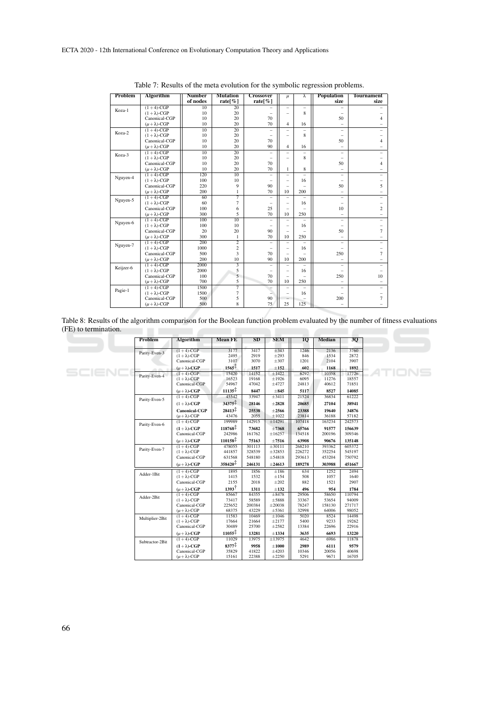| Problem   | Algorithm              | <b>Number</b>    | <b>Mutation</b> | <b>Crossover</b>         | $\mu$                    | λ                        | <b>Population</b>        | <b>Tournament</b>        |
|-----------|------------------------|------------------|-----------------|--------------------------|--------------------------|--------------------------|--------------------------|--------------------------|
|           |                        | of nodes         | rate $\%$ ]     | rate $\%$ ]              |                          |                          | size                     | size                     |
|           | $(1+4)$ -CGP           | $\overline{10}$  | $\overline{20}$ |                          | $\equiv$                 | $\equiv$                 |                          |                          |
| Koza-1    | $(1 + \lambda)$ -CGP   | 10               | 20              |                          | $\overline{\phantom{0}}$ | 8                        | $\equiv$                 |                          |
|           | Canonical-CGP          | 10               | 20              | 70                       |                          |                          | 50                       | $\overline{4}$           |
|           | $(\mu + \lambda)$ -CGP | 10               | 20              | 70                       | $\overline{4}$           | 16                       | $\equiv$                 |                          |
| Koza-2    | $(1+4)$ -CGP           | 10               | 20              | $\overline{\phantom{0}}$ | $\equiv$                 | $\overline{\phantom{0}}$ | $\equiv$                 |                          |
|           | $(1 + \lambda)$ -CGP   | 10               | 20              |                          | $-$                      | 8                        |                          |                          |
|           | Canonical-CGP          | 10               | 20              | 70                       |                          |                          | 50                       | $\overline{4}$           |
|           | $(\mu + \lambda)$ -CGP | 10               | 20              | 90                       | $\overline{4}$           | 16                       | $\equiv$                 |                          |
| Koza-3    | $(1+4)$ -CGP           | $\overline{10}$  | $\overline{20}$ | $\qquad \qquad -$        | $-$                      |                          | -                        |                          |
|           | $(1 + \lambda)$ -CGP   | 10               | 20              |                          | $-$                      | 8                        |                          |                          |
|           | Canonical-CGP          | 10               | 20              | 70                       |                          |                          | 50                       | $\overline{4}$           |
|           | $(\mu + \lambda)$ -CGP | 10               | 20              | 70                       | 1                        | 8                        | $\equiv$                 | -                        |
| Nguyen-4  | $(1+4)-CGP$            | 120              | 10              |                          | $\equiv$                 |                          | $\equiv$                 |                          |
|           | $(1 + \lambda)$ -CGP   | 100              | 10              |                          | $\equiv$                 | 16                       |                          |                          |
|           | Canonical-CGP          | 220              | 9               | 90                       | $\overline{\phantom{0}}$ |                          | 50                       | 5                        |
|           | $(\mu + \lambda)$ -CGP | 200              | 1               | 70                       | 10                       | 200                      | $\equiv$                 | $\qquad \qquad -$        |
| Nguyen-5  | $(1+4)$ -CGP           | 60               | 7               |                          |                          |                          | $\equiv$                 |                          |
|           | $(1 + \lambda)$ -CGP   | 60               | $\overline{7}$  |                          | $-$                      | 16                       | $\equiv$                 |                          |
|           | Canonical-CGP          | 100              | 6               | 25                       | $-$                      | $=$                      | 10                       | $\overline{2}$           |
|           | $(\mu + \lambda)$ -CGP | 300              | 5               | 70                       | 10                       | 250                      | $\equiv$                 | $\qquad \qquad -$        |
| Nguyen-6  | $(1+4)$ -CGP           | 100              | 10              |                          | -                        |                          | -                        | ÷.                       |
|           | $(1 + \lambda)$ -CGP   | 100              | 10              |                          | $\overline{\phantom{0}}$ | 16                       | $\overline{\phantom{0}}$ | $\qquad \qquad -$        |
|           | Canonical-CGP          | 20               | 20              | 90                       | $-$                      |                          | 50                       | $\tau$                   |
|           | $(\mu + \lambda)$ -CGP | 300              | 1               | 70                       | 10                       | 250                      | $\equiv$                 | $\qquad \qquad -$        |
| Nguyen-7  | $(1+4)$ -CGP           | $\overline{200}$ | $\overline{2}$  | -                        | $-$                      |                          | $\equiv$                 | $\overline{\phantom{0}}$ |
|           | $(1 + \lambda)$ -CGP   | 1000             | $\mathfrak{2}$  |                          | $-$                      | 16                       |                          |                          |
|           | Canonical-CGP          | 500              | 3               | 70                       | $\overline{\phantom{0}}$ |                          | 250                      | $\overline{7}$           |
|           | $(\mu + \lambda)$ -CGP | 200              | 10              | 90                       | 10                       | 200                      |                          |                          |
| Keijzer-6 | $(1+4)$ -CGP           | 2000             |                 | $\overline{\phantom{m}}$ | $\overline{\phantom{0}}$ | $\overline{\phantom{0}}$ | $\overline{\phantom{0}}$ |                          |
|           | $(1 + \lambda)$ -CGP   | 2000             | 5               | $\equiv$                 | $-$                      | 16                       | -                        |                          |
|           | Canonical-CGP          | 100              | 5               | 70                       | $-$                      |                          | 250                      | 10                       |
|           | $(\mu + \lambda)$ -CGP | 700              | 5               | 70                       | 10                       | 250                      |                          |                          |
| Pagie-1   | $(1+4)$ -CGP           | 1500             | 7               |                          | $\equiv$                 |                          | $\overline{\phantom{0}}$ |                          |
|           | $(1 + \lambda)$ -CGP   | 1500             | $\overline{7}$  |                          | $-$                      | 16                       |                          | $\qquad \qquad -$        |
|           | Canonical-CGP          | 500              | 5               | 90                       |                          |                          | 200                      | $\tau$                   |
|           | $(\mu + \lambda)$ -CGP | 500              | 8               | 75                       | 25                       | 125                      |                          |                          |

Table 7: Results of the meta evolution for the symbolic regression problems.

Table 8: Results of the algorithm comparison for the Boolean function problem evaluated by the number of fitness evaluations (FE) to termination.

| <b>Problem</b>  | <b>Algorithm</b>                        | <b>Mean FE</b>       | SD              | <b>SEM</b>           | 10 <sub>1</sub> | <b>Median</b>   | 3Q              |
|-----------------|-----------------------------------------|----------------------|-----------------|----------------------|-----------------|-----------------|-----------------|
|                 | $(1+4)$ -CGP                            | 3177                 | 3417            | $\pm$ 343            | 1246            | 2136            | 3760            |
| Parity-Even-3   | $(1 + \lambda)$ -CGP                    | 2495                 | 2919            | $\pm 293$            | 846             | 1534            | 2872            |
|                 | Canonical-CGP                           | 3107                 | 3070            | $\pm 307$            | 1201            | 2104            | 3907            |
|                 | $(\mu + \lambda)$ -CGP                  | $1565^{\frac{1}{4}}$ | 1517            | $\pm 152$            | 602             | 1168            | 1892            |
|                 | $(1+4)$ -CGP                            | 15420                | 14152           | $\pm 1422$           | 6292            | 10358           | 17726           |
| Parity-Even-4   | $(1 + \lambda)$ -CGP                    | 16523                | 19168           | $\pm 1926$           | 6095            | 11276           | 18557           |
|                 | Canonical-CGP                           | 54967                | 47042           | ±4727                | 24813           | 40612           | 71851           |
|                 | $(\mu + \lambda)$ -CGP                  | $11135^{\ddagger}$   | 8447            | $\pm 845$            | 5117            | 8527            | 14085           |
|                 | $(1+4)$ -CGP                            | 45542                | 33947           | $\pm 3411$           | 21524           | 36834           | 61222           |
| Parity-Even-5   | $(1 + \lambda)$ -CGP                    | 34375                | 28146           | $\pm 2828$           | 20685           | 27104           | 38941           |
|                 | <b>Canonical-CGP</b>                    | $28413^{\ddagger}$   | 25538           | $\pm 2566$           | 23388           | 19640           | 34876           |
|                 | $(\mu + \lambda)$ -CGP                  | 43476                | 2055            | $\pm 1022$           | 23814           | 36188           | 57182           |
| Parity-Even-6   | $(1+4)$ -CGP                            | 199989               | 142915          | ±14291               | 107418          | 163234          | 242573          |
|                 | $(1 + \lambda)$ -CGP                    | $118768^{\ddagger}$  | 73682           | $\pm 7368$           | 65766           | 91577           | 156639          |
|                 | Canonical-CGP                           | 242986               | 161762          | ±16257               | 134518          | 200196          | 309346          |
|                 | $(\mu + \lambda)$ -CGP                  | $110158^{\ddagger}$  | 75163           | $\pm 7516$           | 63908           | 90676           | 135148          |
| Parity-Even-7   | $(1+4)$ -CGP                            | 478055               | 301113          | ±30111               | 268210          | 393362          | 605372          |
|                 | $(1 + \lambda)$ -CGP                    | 441857               | 328539          | ±32853               | 226272          | 352254          | 545197          |
|                 | Canonical-CGP                           | 631568               | 548180          | ±54818               | 293613          | 453204          | 750792          |
|                 | $(\mu + \lambda)$ -CGP                  | 358420 <sup>‡</sup>  | 246131          | $\pm 24613$          | 189278          | 303988          | 451667          |
| Adder-1Bit      | $(1+4)$ -CGP                            | 1895                 | 1856            | $\pm 186$            | 634             | 1252            | 2494            |
|                 | $(1 + \lambda)$ -CGP                    | 1415                 | 1532            | $\pm 154$            | 508             | 1057            | 1640            |
|                 | Canonical-CGP                           | 2155                 | 2018            | $\pm 202$            | 882             | 1521            | 2907            |
|                 | $(\mu + \lambda)$ -CGP                  | $1393^{\dagger}$     | 1311            | $\pm 132$            | 496             | 954             | 1784            |
| Adder-2Bit      | $(1+4)-CGP$                             | 85667                | 84355           | $\pm 8478$           | 29506           | 58650           | 110794          |
|                 | $(1 + \lambda)$ -CGP                    | 73417                | 58589           | ±5888                | 33367           | 53654           | 94009           |
|                 | Canonical-CGP<br>$(\mu + \lambda)$ -CGP | 225652<br>68375      | 200384<br>43229 | ±20038<br>$\pm$ 5361 | 78247<br>32998  | 158130<br>64006 | 271717<br>98052 |
|                 | $(1+4)$ -CGP                            | 11583                | 10469           | $\pm 1046$           | 5020            | 8524            | 14498           |
| Multiplier-2Bit | $(1 + \lambda)$ -CGP                    | 17664                | 21664           | ±2177                | 5400            | 9233            | 19262           |
|                 | Canonical-CGP                           | 30489                | 25700           | ±2582                | 13384           | 22696           | 22916           |
|                 | $(\mu + \lambda)$ -CGP                  | $11055^{\ddagger}$   | 13281           | $\pm 1334$           | 3635            | 6693            | 13220           |
| Subtractor-2Bit | $(1+4)$ -CGP                            | 11029                | 13975           | ±13975               | 4642            | 6986            | 11878           |
|                 | $(1 + \lambda)$ -CGP                    | $8377^{\ddagger}$    | 9958            | $\pm 1000$           | 2989            | 6111            | 9579            |
|                 | Canonical-CGP                           | 35829                | 41822           | $\pm 4203$           | 10346           | 20056           | 40698           |
|                 | $(\mu + \lambda)$ -CGP                  | 15161                | 22388           | $\pm 2250$           | 5291            | 9671            | 16705           |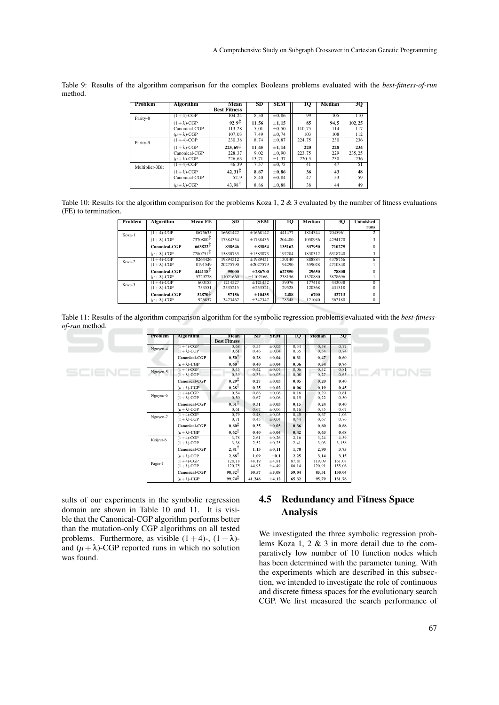| <b>Problem</b>  | <b>Algorithm</b>       | Mean                  | SD    | <b>SEM</b> | 10     | <b>Median</b> | 3Q     |
|-----------------|------------------------|-----------------------|-------|------------|--------|---------------|--------|
|                 |                        | <b>Best Fitness</b>   |       |            |        |               |        |
| Parity-8        | $(1+4)$ -CGP           | 104,24                | 8,50  | $\pm 0.86$ | 99     | 105           | 110    |
|                 | $(1 + \lambda)$ -CGP   | $92.9^{\ddagger}$     | 11.56 | $\pm 1.15$ | 85     | 94.5          | 102.25 |
|                 | Canonical-CGP          | 113.28                | 5.01  | ±0.50      | 110.75 | 114           | 117    |
|                 | $(\mu + \lambda)$ -CGP | 107.03                | 7.49  | ±0.74      | 103    | 108           | 112    |
| Parity-9        | $(1+4)$ -CGP           | 230.38                | 8.74  | $\pm 0.87$ | 224.75 | 230           | 236    |
|                 | $(1 + \lambda)$ -CGP   | $225.69^+$            | 11.45 | $\pm 1.14$ | 220    | 228           | 234    |
|                 | Canonical-CGP          | 228.37                | 9.02  | $\pm 0.90$ | 223.75 | 229           | 235.25 |
|                 | $(\mu + \lambda)$ -CGP | 226,63                | 13,71 | ±1,37      | 220,5  | 230           | 236    |
| Multiplier-3Bit | $(1+4)$ -CGP           | 46.39                 | 7.57  | ±0.75      | 41     | 47            | 51     |
|                 | $(1 + \lambda)$ -CGP   | $42,31^{\frac{+}{+}}$ | 8.67  | $\pm 0.86$ | 36     | 43            | 48     |
|                 | Canonical-CGP          | 52.9                  | 8,40  | ±0.84      | 47     | 53            | 59     |
|                 | $(\mu + \lambda)$ -CGP | 43,98                 | 8.86  | $\pm 0.88$ | 38     | 44            | 49     |

Table 9: Results of the algorithm comparison for the complex Booleans problems evaluated with the *best-fitness-of-run* method.

| Table 10: Results for the algorithm comparison for the problems Koza 1, 2 & 3 evaluated by the number of fitness evaluations |  |
|------------------------------------------------------------------------------------------------------------------------------|--|
| (FE) to termination.                                                                                                         |  |

| Problem | <b>Algorithm</b>     | <b>Mean FE</b>                           | SD       | <b>SEM</b>     | 1Q     | Median  | 30      | <b>Unfinished</b> |
|---------|----------------------|------------------------------------------|----------|----------------|--------|---------|---------|-------------------|
|         |                      |                                          |          |                |        |         |         | runs              |
| Koza-1  | $(1+4)$ -CGP         | 8675635                                  | 16681422 | ±1668142       | 441477 | 1814344 | 7045961 |                   |
|         | $(1 + \lambda)$ -CGP | 7370880+                                 | 17384354 | ±1738435       | 204400 | 1050936 | 4294170 |                   |
|         | Canonical-CGP        | $663822 +$                               | 838546   | $\pm 83854$    | 135162 | 337950  | 710275  |                   |
|         | $(u + \lambda)$ -CGP | 7780751 <sup><math>\ddagger</math></sup> | 15830735 | $\pm 1583073$  | 197284 | 1830312 | 6318740 |                   |
| Koza-2  | $(1+4)-CGP$          | 8264426                                  | 19894512 | ±1989451       | 150140 | 888884  | 4378756 | 6                 |
|         | $(1 + \lambda)$ -CGP | 8191549                                  | 20275790 | $\pm 2027579$  | 94290  | 559028  | 4710848 |                   |
|         | <b>Canonical-CGP</b> | $444118 +$                               | 95000    | $+286700$      | 627550 | 29650   | 78800   |                   |
|         | $(u + \lambda)$ -CGP | 5729778                                  | 11021660 | $\pm 1102166.$ | 238156 | 1320880 | 5878696 |                   |
| Koza-3  | $(1+4)-CGP$          | 600153                                   | 1214527  | ±121452        | 39076  | 177418  | 443038  | $\Omega$          |
|         | $(1 + \lambda)$ -CGP | 753551                                   | 2535215  | $\pm 253521$   | 29528  | 120368  | 431318  |                   |
|         | <b>Canonical-CGP</b> | $32870^+$                                | 57156    | $\pm 10435$    | 2488   | 6700    | 32713   |                   |
|         | $(u + \lambda)$ -CGP | 926857                                   | 3473467  | ±347347        | 28548  | 121040  | 362180  |                   |

Table 11: Results of the algorithm comparison algorithm for the symbolic regression problems evaluated with the *best-fitnessof-run* method. \_\_\_\_\_\_\_\_\_\_\_

|  | Problem   | <b>Algorithm</b>                               | Mean<br><b>Best Fitness</b>  | $_{\rm SD}$    | <b>SEM</b>               | 10             | <b>Median</b>    | 3Q               |         |
|--|-----------|------------------------------------------------|------------------------------|----------------|--------------------------|----------------|------------------|------------------|---------|
|  | Nguyen-4  | $(1+4)-CGP$<br>$(1 + \lambda)$ -CGP            | 0.68<br>0.61                 | 0,55<br>0.46   | $\pm 0.05$<br>$\pm 0.04$ | 0,34<br>0.35   | 0.58<br>0.54     | 0.77<br>0.74     |         |
|  |           | <b>Canonical-CGP</b>                           | $0.50^{\dagger}$             | 0.28           | $\pm 0.04$               | 0.31           | 0.47             | 0.60             |         |
|  |           | $(\mu + \lambda)$ -CGP                         | 0,60                         | 0.40           | $\pm 0.04$               | 0.36           | 0.54             | 0.76             |         |
|  | Nguyen-5  | $(1+4)$ -CGP<br>$(1 + \lambda)$ -CGP           | 0.45<br>0.39                 | 0.42<br>0.33   | $\pm 0.04$<br>$\pm 0.03$ | 0.06<br>0.08   | 0.32<br>0.27     | 0.81<br>0,63     | EATIONS |
|  |           | <b>Canonical-CGP</b>                           | $0,29^{\frac{1}{4}}$         | 0,27           | $\pm 0.03$               | 0.05           | 0.20             | 0.40             |         |
|  |           | $(\mu + \lambda)$ -CGP                         | $0,28^{\frac{+}{+}}$         | 0.25           | $\pm 0.02$               | 0.06           | 0.19             | 0.45             |         |
|  | Nguyen-6  | $(1+4)$ -CGP<br>$(1 + \lambda)$ -CGP           | 0.54<br>0.50                 | 0.66<br>0.67   | ±0.06<br>$\pm 0.06$      | 0.16<br>0.15   | 0.29<br>0,22     | 0.61<br>0, 50    |         |
|  |           | <b>Canonical-CGP</b><br>$(\mu + \lambda)$ -CGP | $0.31^{\frac{1}{4}}$<br>0.61 | 0.31<br>0.67   | $\pm 0.03$<br>$\pm 0.06$ | 0.15<br>0.16   | 0.24<br>0.35     | 0.40<br>0.67     |         |
|  | Nguyen-7  | $(1+4)$ -CGP<br>$(1 + \lambda)$ -CGP           | 0.79<br>0.71                 | 0.48<br>0,45   | $\pm 0.05$<br>$\pm 0.04$ | 0.45<br>0,44   | 0.67<br>0.67     | 1.06<br>0.76     |         |
|  |           | <b>Canonical-CGP</b>                           | $0.60^{\frac{1}{4}}$         | 0.35           | $\pm 0.03$               | 0.36           | 0.60             | 0.68             |         |
|  |           | $(\mu + \lambda)$ -CGP                         | $0.62^{\frac{1}{3}}$         | 0.40           | $\pm 0.04$               | 0.42           | 0.63             | 0.68             |         |
|  | Keijzer-6 | $(1 + 4)$ -CGP<br>$(1 + \lambda)$ -CGP         | 3.78<br>3,38                 | 2,61<br>2,52   | ±0.26<br>±0.25           | 2.16<br>2,41   | 3.24<br>3,03     | 4.59<br>3,158    |         |
|  |           | <b>Canonical-CGP</b>                           | $2,81$ <sup>T</sup>          | 1.13           | $\pm 0.11$               | 1.78           | 2.90             | 3.75             |         |
|  |           | $(\mu + \lambda)$ -CGP                         | $2.88^{\dagger}$             | 1.09           | $\pm 0.1$                | 2.25           | 3.14             | 3.15             |         |
|  | Pagie-1   | $(1+4)$ -CGP<br>$(1 + \lambda)$ -CGP           | 128.18<br>120,75             | 48,19<br>44.95 | ±4,81<br>±4,49           | 87.81<br>86.14 | 119.09<br>120.91 | 161,08<br>155,06 |         |
|  |           | <b>Canonical-CGP</b>                           | $98,52^{+}$                  | 50.57          | $\pm 5.08$               | 59.04          | 85.31            | 130,04           |         |
|  |           | $(\mu + \lambda)$ -CGP                         | $99.74^{\ddagger}$           | 41,246         | $\pm 4.12$               | 65.32          | 95,79            | 131.76           |         |

sults of our experiments in the symbolic regression domain are shown in Table 10 and 11. It is visible that the Canonical-CGP algorithm performs better than the mutation-only CGP algorithms on all tested problems. Furthermore, as visible  $(1 + 4)$ -,  $(1 + \lambda)$ and  $(\mu + \lambda)$ -CGP reported runs in which no solution was found.

## 4.5 Redundancy and Fitness Space Analysis

We investigated the three symbolic regression problems Koza 1, 2 & 3 in more detail due to the comparatively low number of 10 function nodes which has been determined with the parameter tuning. With the experiments which are described in this subsection, we intended to investigate the role of continuous and discrete fitness spaces for the evolutionary search CGP. We first measured the search performance of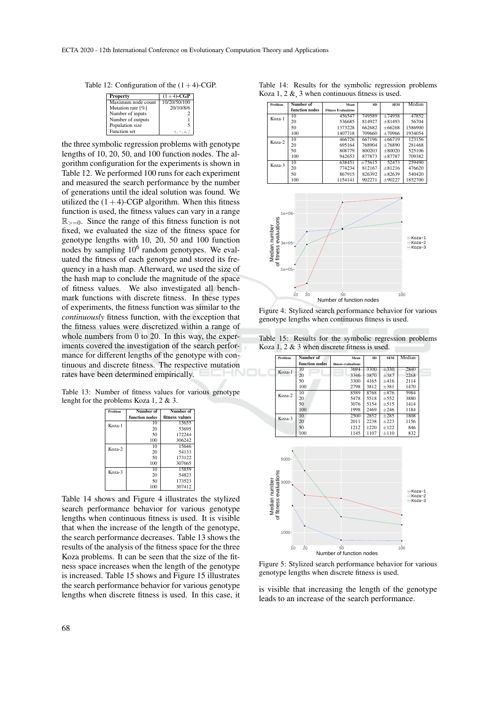Table 12: Configuration of the  $(1+4)$ -CGP.

| Property            | $(1+4)$ -CGP |
|---------------------|--------------|
| Maximum node count  | 10/20/50/100 |
| Mutation rate [%]   | 20/10/8/6    |
| Number of inputs    |              |
| Number of outputs   |              |
| Population size     | f            |
| <b>Function</b> set | $+,-.$       |

the three symbolic regression problems with genotype lengths of 10, 20, 50, and 100 function nodes. The algorithm configuration for the experiments is shown in Table 12. We performed 100 runs for each experiment and measured the search performance by the number of generations until the ideal solution was found. We utilized the  $(1+4)$ -CGP algorithm. When this fitness function is used, the fitness values can vary in a range  $\mathbb{R}_{\geq 0}$ . Since the range of this fitness function is not fixed, we evaluated the size of the fitness space for genotype lengths with 10, 20, 50 and 100 function nodes by sampling  $10^6$  random genotypes. We evaluated the fitness of each genotype and stored its frequency in a hash map. Afterward, we used the size of the hash map to conclude the magnitude of the space of fitness values. We also investigated all benchmark functions with discrete fitness. In these types of experiments, the fitness function was similar to the *continuously* fitness function, with the exception that the fitness values were discretized within a range of whole numbers from 0 to 20. In this way, the experiments covered the investigation of the search performance for different lengths of the genotype with continuous and discrete fitness. The respective mutation rates have been determined empirically.

Table 13: Number of fitness values for various genotype lenght for the problems Koza 1, 2 & 3.

| Problem | Number of      | Number of      |
|---------|----------------|----------------|
|         | function nodes | fitness values |
| Koza-1  | 10             | 15655          |
|         | 20             | 53695          |
|         | 50             | 172244         |
|         | 100            | 306242         |
| Koza-2  | 10             | 15646          |
|         | 20             | 54133          |
|         | 50             | 173122         |
|         | 100            | 307665         |
| Koza-3  | 10             | 15859          |
|         | 20             | 54823          |
|         | 50             | 173523         |
|         | 100            | 307412         |

Table 14 shows and Figure 4 illustrates the stylized search performance behavior for various genotype lengths when continuous fitness is used. It is visible that when the increase of the length of the genotype, the search performance decreases. Table 13 shows the results of the analysis of the fitness space for the three Koza problems. It can be seen that the size of the fitness space increases when the length of the genotype is increased. Table 15 shows and Figure 15 illustrates the search performance behavior for various genotype lengths when discrete fitness is used. In this case, it

Table 14: Results for the symbolic regression problems Koza 1, 2  $\&$ , 3 when continuous fitness is used.

| Problem | Number of      | Mean                       | SD     | <b>SEM</b>  | Median  |
|---------|----------------|----------------------------|--------|-------------|---------|
|         | function nodes | <b>Fitness Evaluations</b> |        |             |         |
| Koza-1  | 10             | 456547                     | 749589 | $+74958$    | 47852   |
|         | 20             | 536685                     | 814927 | $+81493$    | 56704   |
|         | 50             | 1373228                    | 662682 | $+66268$    | 1586900 |
|         | 100            | 1407718                    | 709660 | ±70966      | 1934054 |
| Koza-2  | 10             | 466726                     | 667196 | $+66719$    | 123156  |
|         | 20             | 695164                     | 768904 | $+76890$    | 281468  |
|         | 50             | 808779                     | 800203 | $+80020$    | 525106  |
|         | 100            | 942653                     | 877873 | $+87787$    | 709382  |
| Koza-3  | 10             | 638451                     | ±75615 | 52473       | 259490  |
|         | 20             | 774234                     | 812167 | $+81216$    | 476620  |
|         | 50             | 867915                     | 826392 | $\pm 82639$ | 540420  |
|         | 100            | 1154141                    | 902271 | $\pm 90227$ | 1852700 |



Figure 4: Stylized search performance behavior for various genotype lengths when continuous fitness is used.

Table 15: Results for the symbolic regression problems Koza 1, 2 & 3 when discrete fitness is used.

| function nodes<br>fitness evaluations<br>3694<br>3300<br>$\pm 330$<br>2840<br>10<br>Koza-1<br>20<br>3870<br>$\pm$ 387<br>2268<br>3346<br>50<br>3300<br>4165<br>±416<br>2114<br>100<br>2798<br>3812<br>$\pm 381$<br>1470<br>8589<br>10<br>8768<br>$\pm 876$<br>5984<br>Koza-2<br>20<br>5478<br>5518<br>$\pm$ 552<br>3880<br>50<br>3076<br>5154<br>±515<br>1414<br>$\pm 246$<br>100<br>1998<br>2469<br>1184<br>10<br>2500<br>2852<br>$\pm 285$<br>1808<br>Koza-3<br>20<br>2011<br>2238<br>±223<br>1156<br>50<br>1212<br>±122<br>1220<br>846<br>100<br>1145<br>1107<br>±110<br>832<br>5000<br>evaluations<br>Median number<br>$3000 -$<br>Koza-1<br>Koza-2<br>of fitness<br>Koza-3<br>$1000 -$<br>20<br>50<br>10<br>100<br>Number of function nodes | Problem | Number of | Mean | <b>SD</b> | <b>SEM</b> | Median |  |
|--------------------------------------------------------------------------------------------------------------------------------------------------------------------------------------------------------------------------------------------------------------------------------------------------------------------------------------------------------------------------------------------------------------------------------------------------------------------------------------------------------------------------------------------------------------------------------------------------------------------------------------------------------------------------------------------------------------------------------------------------|---------|-----------|------|-----------|------------|--------|--|
|                                                                                                                                                                                                                                                                                                                                                                                                                                                                                                                                                                                                                                                                                                                                                  |         |           |      |           |            |        |  |
|                                                                                                                                                                                                                                                                                                                                                                                                                                                                                                                                                                                                                                                                                                                                                  |         |           |      |           |            |        |  |
|                                                                                                                                                                                                                                                                                                                                                                                                                                                                                                                                                                                                                                                                                                                                                  |         |           |      |           |            |        |  |
|                                                                                                                                                                                                                                                                                                                                                                                                                                                                                                                                                                                                                                                                                                                                                  |         |           |      |           |            |        |  |
|                                                                                                                                                                                                                                                                                                                                                                                                                                                                                                                                                                                                                                                                                                                                                  |         |           |      |           |            |        |  |
|                                                                                                                                                                                                                                                                                                                                                                                                                                                                                                                                                                                                                                                                                                                                                  |         |           |      |           |            |        |  |
|                                                                                                                                                                                                                                                                                                                                                                                                                                                                                                                                                                                                                                                                                                                                                  |         |           |      |           |            |        |  |
|                                                                                                                                                                                                                                                                                                                                                                                                                                                                                                                                                                                                                                                                                                                                                  |         |           |      |           |            |        |  |
|                                                                                                                                                                                                                                                                                                                                                                                                                                                                                                                                                                                                                                                                                                                                                  |         |           |      |           |            |        |  |
|                                                                                                                                                                                                                                                                                                                                                                                                                                                                                                                                                                                                                                                                                                                                                  |         |           |      |           |            |        |  |
|                                                                                                                                                                                                                                                                                                                                                                                                                                                                                                                                                                                                                                                                                                                                                  |         |           |      |           |            |        |  |
|                                                                                                                                                                                                                                                                                                                                                                                                                                                                                                                                                                                                                                                                                                                                                  |         |           |      |           |            |        |  |
|                                                                                                                                                                                                                                                                                                                                                                                                                                                                                                                                                                                                                                                                                                                                                  |         |           |      |           |            |        |  |
|                                                                                                                                                                                                                                                                                                                                                                                                                                                                                                                                                                                                                                                                                                                                                  |         |           |      |           |            |        |  |
|                                                                                                                                                                                                                                                                                                                                                                                                                                                                                                                                                                                                                                                                                                                                                  |         |           |      |           |            |        |  |

Figure 5: Stylized search performance behavior for various genotype lengths when discrete fitness is used.

is visible that increasing the length of the genotype leads to an increase of the search performance.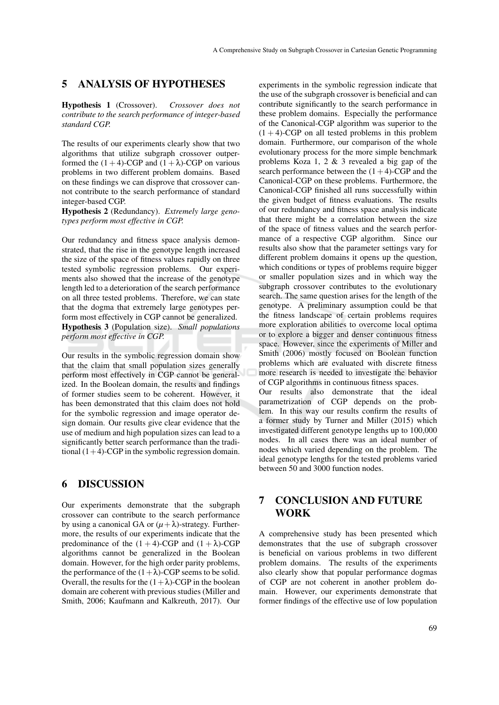### 5 ANALYSIS OF HYPOTHESES

Hypothesis 1 (Crossover). *Crossover does not contribute to the search performance of integer-based standard CGP.*

The results of our experiments clearly show that two algorithms that utilize subgraph crossover outperformed the  $(1+4)$ -CGP and  $(1+\lambda)$ -CGP on various problems in two different problem domains. Based on these findings we can disprove that crossover cannot contribute to the search performance of standard integer-based CGP.

Hypothesis 2 (Redundancy). *Extremely large genotypes perform most effective in CGP.*

Our redundancy and fitness space analysis demonstrated, that the rise in the genotype length increased the size of the space of fitness values rapidly on three tested symbolic regression problems. Our experiments also showed that the increase of the genotype length led to a deterioration of the search performance on all three tested problems. Therefore, we can state that the dogma that extremely large genotypes perform most effectively in CGP cannot be generalized. Hypothesis 3 (Population size). *Small populations perform most effective in CGP.*

Our results in the symbolic regression domain show that the claim that small population sizes generally perform most effectively in CGP cannot be generalized. In the Boolean domain, the results and findings of former studies seem to be coherent. However, it has been demonstrated that this claim does not hold for the symbolic regression and image operator design domain. Our results give clear evidence that the use of medium and high population sizes can lead to a significantly better search performance than the traditional  $(1+4)$ -CGP in the symbolic regression domain.

### 6 DISCUSSION

Our experiments demonstrate that the subgraph crossover can contribute to the search performance by using a canonical GA or  $(\mu + \lambda)$ -strategy. Furthermore, the results of our experiments indicate that the predominance of the  $(1 + 4)$ -CGP and  $(1 + \lambda)$ -CGP algorithms cannot be generalized in the Boolean domain. However, for the high order parity problems, the performance of the  $(1+\lambda)$ -CGP seems to be solid. Overall, the results for the  $(1+\lambda)$ -CGP in the boolean domain are coherent with previous studies (Miller and Smith, 2006; Kaufmann and Kalkreuth, 2017). Our

experiments in the symbolic regression indicate that the use of the subgraph crossover is beneficial and can contribute significantly to the search performance in these problem domains. Especially the performance of the Canonical-CGP algorithm was superior to the  $(1 + 4)$ -CGP on all tested problems in this problem domain. Furthermore, our comparison of the whole evolutionary process for the more simple benchmark problems Koza 1, 2 & 3 revealed a big gap of the search performance between the  $(1+4)$ -CGP and the Canonical-CGP on these problems. Furthermore, the Canonical-CGP finished all runs successfully within the given budget of fitness evaluations. The results of our redundancy and fitness space analysis indicate that there might be a correlation between the size of the space of fitness values and the search performance of a respective CGP algorithm. Since our results also show that the parameter settings vary for different problem domains it opens up the question, which conditions or types of problems require bigger or smaller population sizes and in which way the subgraph crossover contributes to the evolutionary search. The same question arises for the length of the genotype. A preliminary assumption could be that the fitness landscape of certain problems requires more exploration abilities to overcome local optima or to explore a bigger and denser continuous fitness space. However, since the experiments of Miller and Smith (2006) mostly focused on Boolean function problems which are evaluated with discrete fitness more research is needed to investigate the behavior of CGP algorithms in continuous fitness spaces. Our results also demonstrate that the ideal parametrization of CGP depends on the problem. In this way our results confirm the results of a former study by Turner and Miller (2015) which investigated different genotype lengths up to 100,000 nodes. In all cases there was an ideal number of nodes which varied depending on the problem. The ideal genotype lengths for the tested problems varied between 50 and 3000 function nodes.

## 7 CONCLUSION AND FUTURE WORK

A comprehensive study has been presented which demonstrates that the use of subgraph crossover is beneficial on various problems in two different problem domains. The results of the experiments also clearly show that popular performance dogmas of CGP are not coherent in another problem domain. However, our experiments demonstrate that former findings of the effective use of low population